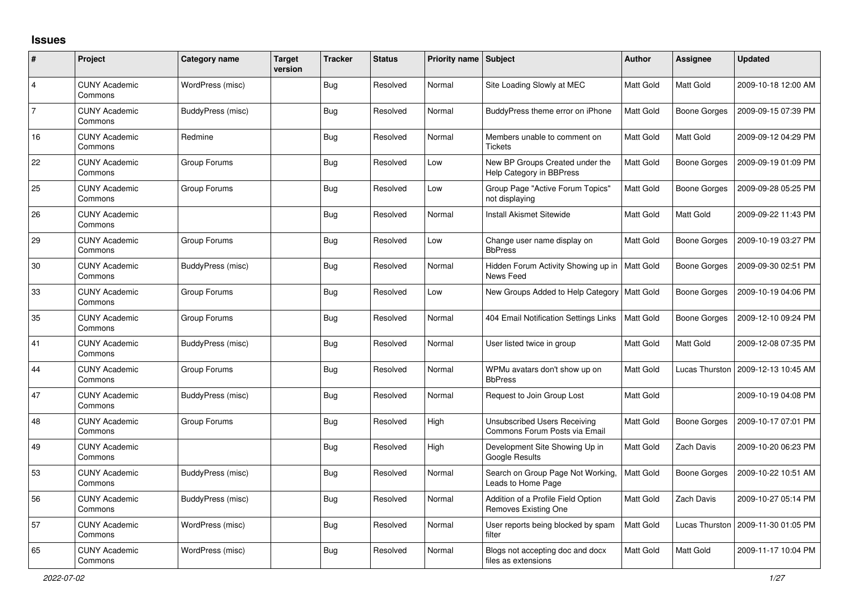## **Issues**

| #              | Project                         | <b>Category name</b> | <b>Target</b><br>version | <b>Tracker</b> | <b>Status</b> | Priority name Subject |                                                               | Author           | <b>Assignee</b>     | <b>Updated</b>      |
|----------------|---------------------------------|----------------------|--------------------------|----------------|---------------|-----------------------|---------------------------------------------------------------|------------------|---------------------|---------------------|
| 4              | <b>CUNY Academic</b><br>Commons | WordPress (misc)     |                          | Bug            | Resolved      | Normal                | Site Loading Slowly at MEC                                    | <b>Matt Gold</b> | Matt Gold           | 2009-10-18 12:00 AM |
| $\overline{7}$ | <b>CUNY Academic</b><br>Commons | BuddyPress (misc)    |                          | <b>Bug</b>     | Resolved      | Normal                | BuddyPress theme error on iPhone                              | Matt Gold        | <b>Boone Gorges</b> | 2009-09-15 07:39 PM |
| 16             | <b>CUNY Academic</b><br>Commons | Redmine              |                          | Bug            | Resolved      | Normal                | Members unable to comment on<br><b>Tickets</b>                | <b>Matt Gold</b> | Matt Gold           | 2009-09-12 04:29 PM |
| 22             | <b>CUNY Academic</b><br>Commons | Group Forums         |                          | Bug            | Resolved      | Low                   | New BP Groups Created under the<br>Help Category in BBPress   | Matt Gold        | <b>Boone Gorges</b> | 2009-09-19 01:09 PM |
| 25             | <b>CUNY Academic</b><br>Commons | Group Forums         |                          | <b>Bug</b>     | Resolved      | Low                   | Group Page "Active Forum Topics"<br>not displaying            | Matt Gold        | <b>Boone Gorges</b> | 2009-09-28 05:25 PM |
| 26             | <b>CUNY Academic</b><br>Commons |                      |                          | Bug            | Resolved      | Normal                | <b>Install Akismet Sitewide</b>                               | <b>Matt Gold</b> | Matt Gold           | 2009-09-22 11:43 PM |
| 29             | <b>CUNY Academic</b><br>Commons | Group Forums         |                          | Bug            | Resolved      | Low                   | Change user name display on<br><b>BbPress</b>                 | Matt Gold        | <b>Boone Gorges</b> | 2009-10-19 03:27 PM |
| 30             | <b>CUNY Academic</b><br>Commons | BuddyPress (misc)    |                          | <b>Bug</b>     | Resolved      | Normal                | Hidden Forum Activity Showing up in<br>News Feed              | <b>Matt Gold</b> | <b>Boone Gorges</b> | 2009-09-30 02:51 PM |
| 33             | <b>CUNY Academic</b><br>Commons | Group Forums         |                          | <b>Bug</b>     | Resolved      | Low                   | New Groups Added to Help Category   Matt Gold                 |                  | <b>Boone Gorges</b> | 2009-10-19 04:06 PM |
| 35             | <b>CUNY Academic</b><br>Commons | Group Forums         |                          | Bug            | Resolved      | Normal                | 404 Email Notification Settings Links                         | <b>Matt Gold</b> | <b>Boone Gorges</b> | 2009-12-10 09:24 PM |
| 41             | <b>CUNY Academic</b><br>Commons | BuddyPress (misc)    |                          | <b>Bug</b>     | Resolved      | Normal                | User listed twice in group                                    | Matt Gold        | Matt Gold           | 2009-12-08 07:35 PM |
| 44             | <b>CUNY Academic</b><br>Commons | Group Forums         |                          | Bug            | Resolved      | Normal                | WPMu avatars don't show up on<br><b>BbPress</b>               | Matt Gold        | Lucas Thurston      | 2009-12-13 10:45 AM |
| 47             | <b>CUNY Academic</b><br>Commons | BuddyPress (misc)    |                          | <b>Bug</b>     | Resolved      | Normal                | Request to Join Group Lost                                    | Matt Gold        |                     | 2009-10-19 04:08 PM |
| 48             | <b>CUNY Academic</b><br>Commons | Group Forums         |                          | Bug            | Resolved      | High                  | Unsubscribed Users Receiving<br>Commons Forum Posts via Email | Matt Gold        | <b>Boone Gorges</b> | 2009-10-17 07:01 PM |
| 49             | <b>CUNY Academic</b><br>Commons |                      |                          | <b>Bug</b>     | Resolved      | High                  | Development Site Showing Up in<br>Google Results              | Matt Gold        | <b>Zach Davis</b>   | 2009-10-20 06:23 PM |
| 53             | <b>CUNY Academic</b><br>Commons | BuddyPress (misc)    |                          | Bug            | Resolved      | Normal                | Search on Group Page Not Working,<br>Leads to Home Page       | Matt Gold        | <b>Boone Gorges</b> | 2009-10-22 10:51 AM |
| 56             | <b>CUNY Academic</b><br>Commons | BuddyPress (misc)    |                          | <b>Bug</b>     | Resolved      | Normal                | Addition of a Profile Field Option<br>Removes Existing One    | Matt Gold        | Zach Davis          | 2009-10-27 05:14 PM |
| 57             | <b>CUNY Academic</b><br>Commons | WordPress (misc)     |                          | Bug            | Resolved      | Normal                | User reports being blocked by spam<br>filter                  | <b>Matt Gold</b> | Lucas Thurston      | 2009-11-30 01:05 PM |
| 65             | <b>CUNY Academic</b><br>Commons | WordPress (misc)     |                          | <b>Bug</b>     | Resolved      | Normal                | Blogs not accepting doc and docx<br>files as extensions       | Matt Gold        | Matt Gold           | 2009-11-17 10:04 PM |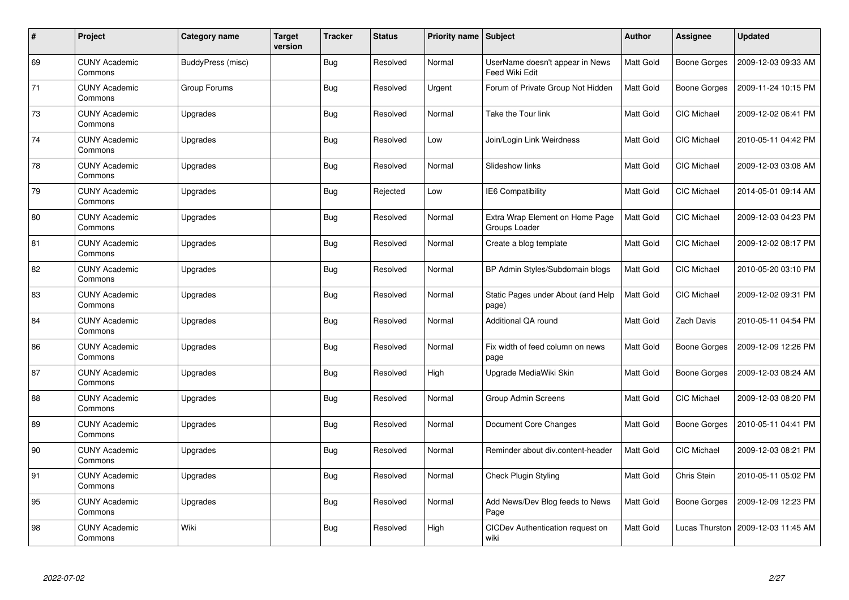| #  | Project                         | Category name     | <b>Target</b><br>version | <b>Tracker</b> | <b>Status</b> | Priority name Subject |                                                   | <b>Author</b>    | Assignee            | <b>Updated</b>      |
|----|---------------------------------|-------------------|--------------------------|----------------|---------------|-----------------------|---------------------------------------------------|------------------|---------------------|---------------------|
| 69 | <b>CUNY Academic</b><br>Commons | BuddyPress (misc) |                          | Bug            | Resolved      | Normal                | UserName doesn't appear in News<br>Feed Wiki Edit | Matt Gold        | <b>Boone Gorges</b> | 2009-12-03 09:33 AM |
| 71 | <b>CUNY Academic</b><br>Commons | Group Forums      |                          | <b>Bug</b>     | Resolved      | Urgent                | Forum of Private Group Not Hidden                 | Matt Gold        | Boone Gorges        | 2009-11-24 10:15 PM |
| 73 | <b>CUNY Academic</b><br>Commons | Upgrades          |                          | <b>Bug</b>     | Resolved      | Normal                | Take the Tour link                                | Matt Gold        | <b>CIC Michael</b>  | 2009-12-02 06:41 PM |
| 74 | <b>CUNY Academic</b><br>Commons | Upgrades          |                          | <b>Bug</b>     | Resolved      | Low                   | Join/Login Link Weirdness                         | Matt Gold        | CIC Michael         | 2010-05-11 04:42 PM |
| 78 | <b>CUNY Academic</b><br>Commons | Upgrades          |                          | <b>Bug</b>     | Resolved      | Normal                | Slideshow links                                   | <b>Matt Gold</b> | CIC Michael         | 2009-12-03 03:08 AM |
| 79 | <b>CUNY Academic</b><br>Commons | Upgrades          |                          | <b>Bug</b>     | Rejected      | Low                   | <b>IE6 Compatibility</b>                          | Matt Gold        | CIC Michael         | 2014-05-01 09:14 AM |
| 80 | <b>CUNY Academic</b><br>Commons | Upgrades          |                          | <b>Bug</b>     | Resolved      | Normal                | Extra Wrap Element on Home Page<br>Groups Loader  | Matt Gold        | CIC Michael         | 2009-12-03 04:23 PM |
| 81 | <b>CUNY Academic</b><br>Commons | Upgrades          |                          | <b>Bug</b>     | Resolved      | Normal                | Create a blog template                            | Matt Gold        | CIC Michael         | 2009-12-02 08:17 PM |
| 82 | <b>CUNY Academic</b><br>Commons | Upgrades          |                          | <b>Bug</b>     | Resolved      | Normal                | BP Admin Styles/Subdomain blogs                   | Matt Gold        | <b>CIC Michael</b>  | 2010-05-20 03:10 PM |
| 83 | <b>CUNY Academic</b><br>Commons | Upgrades          |                          | <b>Bug</b>     | Resolved      | Normal                | Static Pages under About (and Help<br>page)       | Matt Gold        | CIC Michael         | 2009-12-02 09:31 PM |
| 84 | <b>CUNY Academic</b><br>Commons | Upgrades          |                          | <b>Bug</b>     | Resolved      | Normal                | Additional QA round                               | Matt Gold        | Zach Davis          | 2010-05-11 04:54 PM |
| 86 | <b>CUNY Academic</b><br>Commons | Upgrades          |                          | Bug            | Resolved      | Normal                | Fix width of feed column on news<br>page          | Matt Gold        | Boone Gorges        | 2009-12-09 12:26 PM |
| 87 | <b>CUNY Academic</b><br>Commons | Upgrades          |                          | <b>Bug</b>     | Resolved      | High                  | Upgrade MediaWiki Skin                            | <b>Matt Gold</b> | <b>Boone Gorges</b> | 2009-12-03 08:24 AM |
| 88 | <b>CUNY Academic</b><br>Commons | Upgrades          |                          | <b>Bug</b>     | Resolved      | Normal                | Group Admin Screens                               | Matt Gold        | CIC Michael         | 2009-12-03 08:20 PM |
| 89 | <b>CUNY Academic</b><br>Commons | Upgrades          |                          | <b>Bug</b>     | Resolved      | Normal                | Document Core Changes                             | Matt Gold        | <b>Boone Gorges</b> | 2010-05-11 04:41 PM |
| 90 | <b>CUNY Academic</b><br>Commons | Upgrades          |                          | <b>Bug</b>     | Resolved      | Normal                | Reminder about div.content-header                 | Matt Gold        | <b>CIC Michael</b>  | 2009-12-03 08:21 PM |
| 91 | <b>CUNY Academic</b><br>Commons | Upgrades          |                          | Bug            | Resolved      | Normal                | <b>Check Plugin Styling</b>                       | <b>Matt Gold</b> | Chris Stein         | 2010-05-11 05:02 PM |
| 95 | <b>CUNY Academic</b><br>Commons | Upgrades          |                          | <b>Bug</b>     | Resolved      | Normal                | Add News/Dev Blog feeds to News<br>Page           | Matt Gold        | Boone Gorges        | 2009-12-09 12:23 PM |
| 98 | <b>CUNY Academic</b><br>Commons | Wiki              |                          | Bug            | Resolved      | High                  | CICDev Authentication request on<br>wiki          | Matt Gold        | Lucas Thurston      | 2009-12-03 11:45 AM |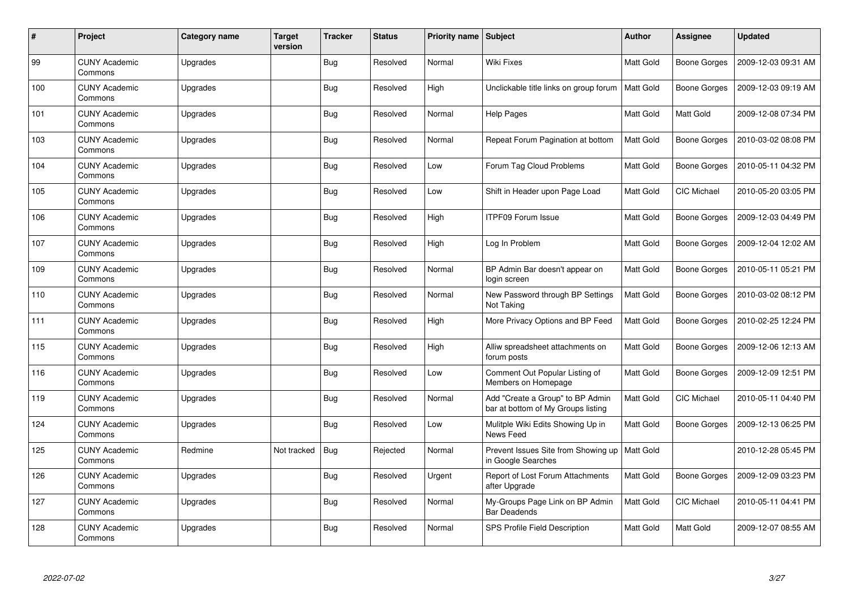| $\#$ | Project                         | <b>Category name</b> | <b>Target</b><br>version | <b>Tracker</b> | <b>Status</b> | Priority name Subject |                                                                        | Author           | <b>Assignee</b>    | <b>Updated</b>      |
|------|---------------------------------|----------------------|--------------------------|----------------|---------------|-----------------------|------------------------------------------------------------------------|------------------|--------------------|---------------------|
| 99   | <b>CUNY Academic</b><br>Commons | Upgrades             |                          | Bug            | Resolved      | Normal                | <b>Wiki Fixes</b>                                                      | <b>Matt Gold</b> | Boone Gorges       | 2009-12-03 09:31 AM |
| 100  | <b>CUNY Academic</b><br>Commons | Upgrades             |                          | Bug            | Resolved      | High                  | Unclickable title links on group forum                                 | Matt Gold        | Boone Gorges       | 2009-12-03 09:19 AM |
| 101  | <b>CUNY Academic</b><br>Commons | Upgrades             |                          | <b>Bug</b>     | Resolved      | Normal                | Help Pages                                                             | Matt Gold        | Matt Gold          | 2009-12-08 07:34 PM |
| 103  | <b>CUNY Academic</b><br>Commons | Upgrades             |                          | Bug            | Resolved      | Normal                | Repeat Forum Pagination at bottom                                      | Matt Gold        | Boone Gorges       | 2010-03-02 08:08 PM |
| 104  | <b>CUNY Academic</b><br>Commons | Upgrades             |                          | <b>Bug</b>     | Resolved      | Low                   | Forum Tag Cloud Problems                                               | Matt Gold        | Boone Gorges       | 2010-05-11 04:32 PM |
| 105  | <b>CUNY Academic</b><br>Commons | Upgrades             |                          | <b>Bug</b>     | Resolved      | Low                   | Shift in Header upon Page Load                                         | Matt Gold        | <b>CIC Michael</b> | 2010-05-20 03:05 PM |
| 106  | <b>CUNY Academic</b><br>Commons | Upgrades             |                          | Bug            | Resolved      | High                  | <b>ITPF09 Forum Issue</b>                                              | Matt Gold        | Boone Gorges       | 2009-12-03 04:49 PM |
| 107  | <b>CUNY Academic</b><br>Commons | Upgrades             |                          | Bug            | Resolved      | High                  | Log In Problem                                                         | Matt Gold        | Boone Gorges       | 2009-12-04 12:02 AM |
| 109  | <b>CUNY Academic</b><br>Commons | Upgrades             |                          | <b>Bug</b>     | Resolved      | Normal                | BP Admin Bar doesn't appear on<br>login screen                         | Matt Gold        | Boone Gorges       | 2010-05-11 05:21 PM |
| 110  | <b>CUNY Academic</b><br>Commons | Upgrades             |                          | <b>Bug</b>     | Resolved      | Normal                | New Password through BP Settings<br>Not Taking                         | Matt Gold        | Boone Gorges       | 2010-03-02 08:12 PM |
| 111  | <b>CUNY Academic</b><br>Commons | Upgrades             |                          | <b>Bug</b>     | Resolved      | High                  | More Privacy Options and BP Feed                                       | Matt Gold        | Boone Gorges       | 2010-02-25 12:24 PM |
| 115  | <b>CUNY Academic</b><br>Commons | Upgrades             |                          | Bug            | Resolved      | High                  | Alliw spreadsheet attachments on<br>forum posts                        | Matt Gold        | Boone Gorges       | 2009-12-06 12:13 AM |
| 116  | <b>CUNY Academic</b><br>Commons | Upgrades             |                          | Bug            | Resolved      | Low                   | Comment Out Popular Listing of<br>Members on Homepage                  | Matt Gold        | Boone Gorges       | 2009-12-09 12:51 PM |
| 119  | <b>CUNY Academic</b><br>Commons | Upgrades             |                          | <b>Bug</b>     | Resolved      | Normal                | Add "Create a Group" to BP Admin<br>bar at bottom of My Groups listing | Matt Gold        | <b>CIC Michael</b> | 2010-05-11 04:40 PM |
| 124  | <b>CUNY Academic</b><br>Commons | Upgrades             |                          | Bug            | Resolved      | Low                   | Mulitple Wiki Edits Showing Up in<br>News Feed                         | Matt Gold        | Boone Gorges       | 2009-12-13 06:25 PM |
| 125  | <b>CUNY Academic</b><br>Commons | Redmine              | Not tracked              | Bug            | Rejected      | Normal                | Prevent Issues Site from Showing up<br>in Google Searches              | Matt Gold        |                    | 2010-12-28 05:45 PM |
| 126  | <b>CUNY Academic</b><br>Commons | Upgrades             |                          | Bug            | Resolved      | Urgent                | Report of Lost Forum Attachments<br>after Upgrade                      | Matt Gold        | Boone Gorges       | 2009-12-09 03:23 PM |
| 127  | <b>CUNY Academic</b><br>Commons | Upgrades             |                          | Bug            | Resolved      | Normal                | My-Groups Page Link on BP Admin<br><b>Bar Deadends</b>                 | Matt Gold        | <b>CIC Michael</b> | 2010-05-11 04:41 PM |
| 128  | <b>CUNY Academic</b><br>Commons | Upgrades             |                          | <b>Bug</b>     | Resolved      | Normal                | SPS Profile Field Description                                          | Matt Gold        | Matt Gold          | 2009-12-07 08:55 AM |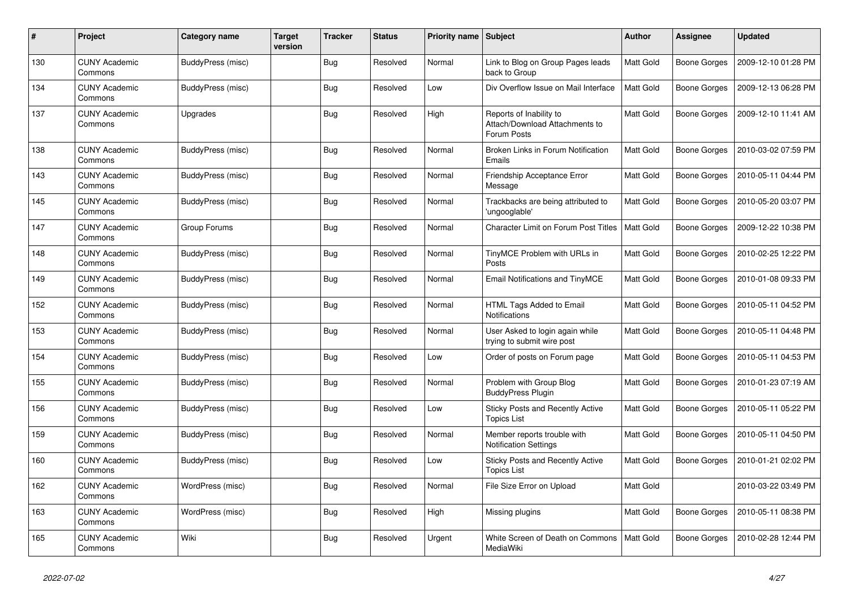| #   | Project                         | Category name     | <b>Target</b><br>version | <b>Tracker</b> | <b>Status</b> | Priority name Subject |                                                                          | <b>Author</b> | <b>Assignee</b>     | <b>Updated</b>      |
|-----|---------------------------------|-------------------|--------------------------|----------------|---------------|-----------------------|--------------------------------------------------------------------------|---------------|---------------------|---------------------|
| 130 | <b>CUNY Academic</b><br>Commons | BuddyPress (misc) |                          | <b>Bug</b>     | Resolved      | Normal                | Link to Blog on Group Pages leads<br>back to Group                       | Matt Gold     | Boone Gorges        | 2009-12-10 01:28 PM |
| 134 | <b>CUNY Academic</b><br>Commons | BuddyPress (misc) |                          | <b>Bug</b>     | Resolved      | Low                   | Div Overflow Issue on Mail Interface                                     | Matt Gold     | Boone Gorges        | 2009-12-13 06:28 PM |
| 137 | <b>CUNY Academic</b><br>Commons | Upgrades          |                          | Bug            | Resolved      | High                  | Reports of Inability to<br>Attach/Download Attachments to<br>Forum Posts | Matt Gold     | <b>Boone Gorges</b> | 2009-12-10 11:41 AM |
| 138 | <b>CUNY Academic</b><br>Commons | BuddyPress (misc) |                          | <b>Bug</b>     | Resolved      | Normal                | Broken Links in Forum Notification<br>Emails                             | Matt Gold     | Boone Gorges        | 2010-03-02 07:59 PM |
| 143 | <b>CUNY Academic</b><br>Commons | BuddyPress (misc) |                          | <b>Bug</b>     | Resolved      | Normal                | Friendship Acceptance Error<br>Message                                   | Matt Gold     | <b>Boone Gorges</b> | 2010-05-11 04:44 PM |
| 145 | <b>CUNY Academic</b><br>Commons | BuddyPress (misc) |                          | <b>Bug</b>     | Resolved      | Normal                | Trackbacks are being attributed to<br>'ungooglable'                      | Matt Gold     | Boone Gorges        | 2010-05-20 03:07 PM |
| 147 | <b>CUNY Academic</b><br>Commons | Group Forums      |                          | <b>Bug</b>     | Resolved      | Normal                | <b>Character Limit on Forum Post Titles</b>                              | Matt Gold     | Boone Gorges        | 2009-12-22 10:38 PM |
| 148 | <b>CUNY Academic</b><br>Commons | BuddyPress (misc) |                          | <b>Bug</b>     | Resolved      | Normal                | TinyMCE Problem with URLs in<br>Posts                                    | Matt Gold     | Boone Gorges        | 2010-02-25 12:22 PM |
| 149 | <b>CUNY Academic</b><br>Commons | BuddyPress (misc) |                          | Bug            | Resolved      | Normal                | Email Notifications and TinyMCE                                          | Matt Gold     | Boone Gorges        | 2010-01-08 09:33 PM |
| 152 | <b>CUNY Academic</b><br>Commons | BuddyPress (misc) |                          | <b>Bug</b>     | Resolved      | Normal                | HTML Tags Added to Email<br><b>Notifications</b>                         | Matt Gold     | Boone Gorges        | 2010-05-11 04:52 PM |
| 153 | <b>CUNY Academic</b><br>Commons | BuddyPress (misc) |                          | <b>Bug</b>     | Resolved      | Normal                | User Asked to login again while<br>trying to submit wire post            | Matt Gold     | <b>Boone Gorges</b> | 2010-05-11 04:48 PM |
| 154 | <b>CUNY Academic</b><br>Commons | BuddyPress (misc) |                          | <b>Bug</b>     | Resolved      | Low                   | Order of posts on Forum page                                             | Matt Gold     | Boone Gorges        | 2010-05-11 04:53 PM |
| 155 | <b>CUNY Academic</b><br>Commons | BuddyPress (misc) |                          | <b>Bug</b>     | Resolved      | Normal                | Problem with Group Blog<br><b>BuddyPress Plugin</b>                      | Matt Gold     | Boone Gorges        | 2010-01-23 07:19 AM |
| 156 | <b>CUNY Academic</b><br>Commons | BuddyPress (misc) |                          | <b>Bug</b>     | Resolved      | Low                   | <b>Sticky Posts and Recently Active</b><br><b>Topics List</b>            | Matt Gold     | Boone Gorges        | 2010-05-11 05:22 PM |
| 159 | <b>CUNY Academic</b><br>Commons | BuddyPress (misc) |                          | <b>Bug</b>     | Resolved      | Normal                | Member reports trouble with<br><b>Notification Settings</b>              | Matt Gold     | Boone Gorges        | 2010-05-11 04:50 PM |
| 160 | <b>CUNY Academic</b><br>Commons | BuddyPress (misc) |                          | <b>Bug</b>     | Resolved      | Low                   | Sticky Posts and Recently Active<br><b>Topics List</b>                   | Matt Gold     | Boone Gorges        | 2010-01-21 02:02 PM |
| 162 | <b>CUNY Academic</b><br>Commons | WordPress (misc)  |                          | Bug            | Resolved      | Normal                | File Size Error on Upload                                                | Matt Gold     |                     | 2010-03-22 03:49 PM |
| 163 | <b>CUNY Academic</b><br>Commons | WordPress (misc)  |                          | Bug            | Resolved      | High                  | Missing plugins                                                          | Matt Gold     | Boone Gorges        | 2010-05-11 08:38 PM |
| 165 | <b>CUNY Academic</b><br>Commons | Wiki              |                          | <b>Bug</b>     | Resolved      | Urgent                | White Screen of Death on Commons<br>MediaWiki                            | Matt Gold     | Boone Gorges        | 2010-02-28 12:44 PM |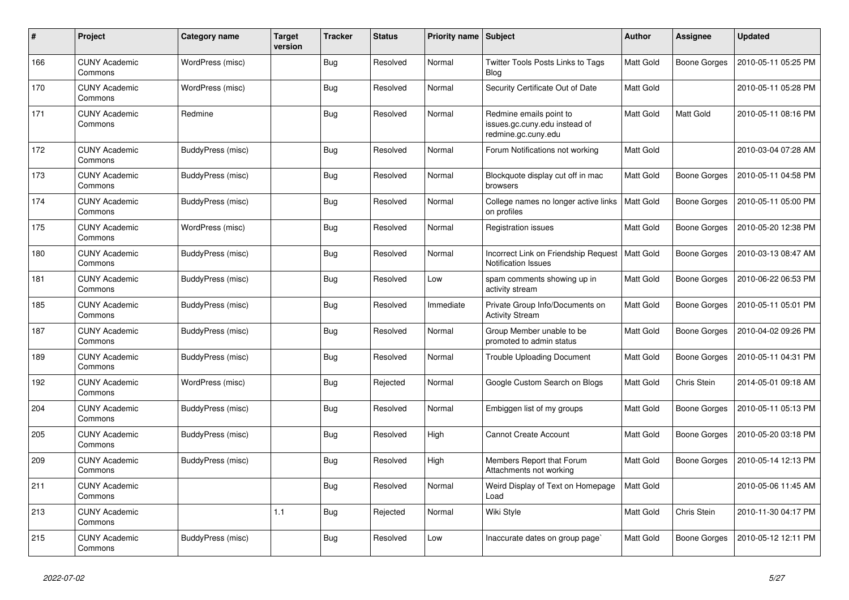| $\#$ | <b>Project</b>                  | Category name     | <b>Target</b><br>version | <b>Tracker</b> | <b>Status</b> | <b>Priority name Subject</b> |                                                                                 | <b>Author</b> | Assignee            | <b>Updated</b>      |
|------|---------------------------------|-------------------|--------------------------|----------------|---------------|------------------------------|---------------------------------------------------------------------------------|---------------|---------------------|---------------------|
| 166  | <b>CUNY Academic</b><br>Commons | WordPress (misc)  |                          | Bug            | Resolved      | Normal                       | Twitter Tools Posts Links to Tags<br>Blog                                       | Matt Gold     | <b>Boone Gorges</b> | 2010-05-11 05:25 PM |
| 170  | <b>CUNY Academic</b><br>Commons | WordPress (misc)  |                          | <b>Bug</b>     | Resolved      | Normal                       | Security Certificate Out of Date                                                | Matt Gold     |                     | 2010-05-11 05:28 PM |
| 171  | <b>CUNY Academic</b><br>Commons | Redmine           |                          | Bug            | Resolved      | Normal                       | Redmine emails point to<br>issues.gc.cuny.edu instead of<br>redmine.gc.cuny.edu | Matt Gold     | Matt Gold           | 2010-05-11 08:16 PM |
| 172  | <b>CUNY Academic</b><br>Commons | BuddyPress (misc) |                          | Bug            | Resolved      | Normal                       | Forum Notifications not working                                                 | Matt Gold     |                     | 2010-03-04 07:28 AM |
| 173  | <b>CUNY Academic</b><br>Commons | BuddyPress (misc) |                          | <b>Bug</b>     | Resolved      | Normal                       | Blockquote display cut off in mac<br>browsers                                   | Matt Gold     | Boone Gorges        | 2010-05-11 04:58 PM |
| 174  | <b>CUNY Academic</b><br>Commons | BuddyPress (misc) |                          | <b>Bug</b>     | Resolved      | Normal                       | College names no longer active links<br>on profiles                             | Matt Gold     | Boone Gorges        | 2010-05-11 05:00 PM |
| 175  | <b>CUNY Academic</b><br>Commons | WordPress (misc)  |                          | Bug            | Resolved      | Normal                       | <b>Registration issues</b>                                                      | Matt Gold     | Boone Gorges        | 2010-05-20 12:38 PM |
| 180  | <b>CUNY Academic</b><br>Commons | BuddyPress (misc) |                          | <b>Bug</b>     | Resolved      | Normal                       | Incorrect Link on Friendship Request<br><b>Notification Issues</b>              | Matt Gold     | <b>Boone Gorges</b> | 2010-03-13 08:47 AM |
| 181  | <b>CUNY Academic</b><br>Commons | BuddyPress (misc) |                          | <b>Bug</b>     | Resolved      | Low                          | spam comments showing up in<br>activity stream                                  | Matt Gold     | Boone Gorges        | 2010-06-22 06:53 PM |
| 185  | <b>CUNY Academic</b><br>Commons | BuddyPress (misc) |                          | <b>Bug</b>     | Resolved      | Immediate                    | Private Group Info/Documents on<br><b>Activity Stream</b>                       | Matt Gold     | Boone Gorges        | 2010-05-11 05:01 PM |
| 187  | <b>CUNY Academic</b><br>Commons | BuddyPress (misc) |                          | Bug            | Resolved      | Normal                       | Group Member unable to be<br>promoted to admin status                           | Matt Gold     | Boone Gorges        | 2010-04-02 09:26 PM |
| 189  | <b>CUNY Academic</b><br>Commons | BuddyPress (misc) |                          | <b>Bug</b>     | Resolved      | Normal                       | <b>Trouble Uploading Document</b>                                               | Matt Gold     | Boone Gorges        | 2010-05-11 04:31 PM |
| 192  | <b>CUNY Academic</b><br>Commons | WordPress (misc)  |                          | <b>Bug</b>     | Rejected      | Normal                       | Google Custom Search on Blogs                                                   | Matt Gold     | Chris Stein         | 2014-05-01 09:18 AM |
| 204  | <b>CUNY Academic</b><br>Commons | BuddyPress (misc) |                          | <b>Bug</b>     | Resolved      | Normal                       | Embiggen list of my groups                                                      | Matt Gold     | Boone Gorges        | 2010-05-11 05:13 PM |
| 205  | <b>CUNY Academic</b><br>Commons | BuddyPress (misc) |                          | Bug            | Resolved      | High                         | <b>Cannot Create Account</b>                                                    | Matt Gold     | Boone Gorges        | 2010-05-20 03:18 PM |
| 209  | <b>CUNY Academic</b><br>Commons | BuddyPress (misc) |                          | Bug            | Resolved      | High                         | Members Report that Forum<br>Attachments not working                            | Matt Gold     | Boone Gorges        | 2010-05-14 12:13 PM |
| 211  | <b>CUNY Academic</b><br>Commons |                   |                          | <b>Bug</b>     | Resolved      | Normal                       | Weird Display of Text on Homepage<br>Load                                       | Matt Gold     |                     | 2010-05-06 11:45 AM |
| 213  | <b>CUNY Academic</b><br>Commons |                   | 1.1                      | Bug            | Rejected      | Normal                       | Wiki Style                                                                      | Matt Gold     | Chris Stein         | 2010-11-30 04:17 PM |
| 215  | <b>CUNY Academic</b><br>Commons | BuddyPress (misc) |                          | Bug            | Resolved      | Low                          | Inaccurate dates on group page`                                                 | Matt Gold     | Boone Gorges        | 2010-05-12 12:11 PM |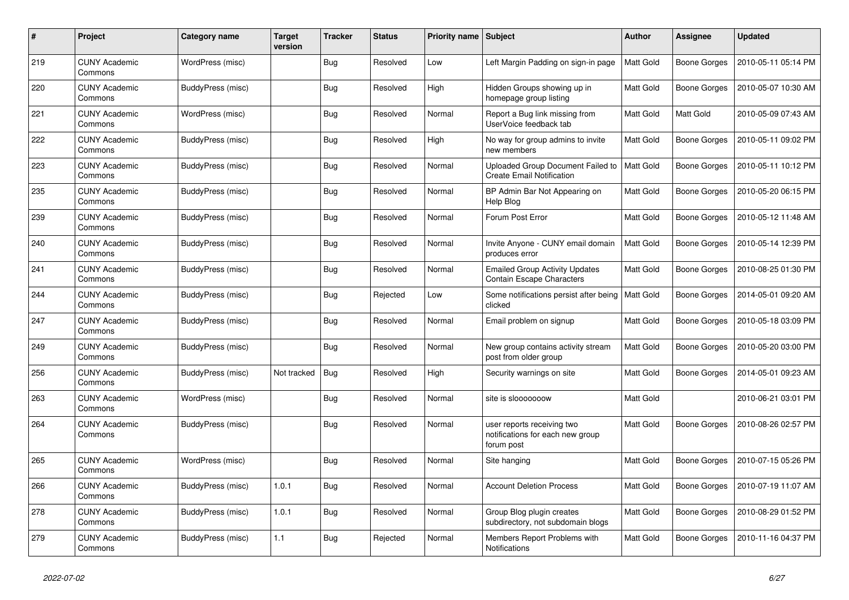| #   | Project                         | Category name     | <b>Target</b><br>version | <b>Tracker</b> | <b>Status</b> | <b>Priority name Subject</b> |                                                                              | Author           | Assignee            | <b>Updated</b>      |
|-----|---------------------------------|-------------------|--------------------------|----------------|---------------|------------------------------|------------------------------------------------------------------------------|------------------|---------------------|---------------------|
| 219 | <b>CUNY Academic</b><br>Commons | WordPress (misc)  |                          | Bug            | Resolved      | Low                          | Left Margin Padding on sign-in page                                          | <b>Matt Gold</b> | <b>Boone Gorges</b> | 2010-05-11 05:14 PM |
| 220 | <b>CUNY Academic</b><br>Commons | BuddyPress (misc) |                          | Bug            | Resolved      | High                         | Hidden Groups showing up in<br>homepage group listing                        | Matt Gold        | <b>Boone Gorges</b> | 2010-05-07 10:30 AM |
| 221 | <b>CUNY Academic</b><br>Commons | WordPress (misc)  |                          | <b>Bug</b>     | Resolved      | Normal                       | Report a Bug link missing from<br>UserVoice feedback tab                     | Matt Gold        | Matt Gold           | 2010-05-09 07:43 AM |
| 222 | <b>CUNY Academic</b><br>Commons | BuddyPress (misc) |                          | Bug            | Resolved      | High                         | No way for group admins to invite<br>new members                             | Matt Gold        | Boone Gorges        | 2010-05-11 09:02 PM |
| 223 | <b>CUNY Academic</b><br>Commons | BuddyPress (misc) |                          | <b>Bug</b>     | Resolved      | Normal                       | Uploaded Group Document Failed to<br><b>Create Email Notification</b>        | Matt Gold        | Boone Gorges        | 2010-05-11 10:12 PM |
| 235 | <b>CUNY Academic</b><br>Commons | BuddyPress (misc) |                          | Bug            | Resolved      | Normal                       | BP Admin Bar Not Appearing on<br>Help Blog                                   | Matt Gold        | Boone Gorges        | 2010-05-20 06:15 PM |
| 239 | <b>CUNY Academic</b><br>Commons | BuddyPress (misc) |                          | Bug            | Resolved      | Normal                       | Forum Post Error                                                             | Matt Gold        | Boone Gorges        | 2010-05-12 11:48 AM |
| 240 | <b>CUNY Academic</b><br>Commons | BuddyPress (misc) |                          | <b>Bug</b>     | Resolved      | Normal                       | Invite Anyone - CUNY email domain<br>produces error                          | Matt Gold        | Boone Gorges        | 2010-05-14 12:39 PM |
| 241 | <b>CUNY Academic</b><br>Commons | BuddyPress (misc) |                          | <b>Bug</b>     | Resolved      | Normal                       | <b>Emailed Group Activity Updates</b><br><b>Contain Escape Characters</b>    | Matt Gold        | Boone Gorges        | 2010-08-25 01:30 PM |
| 244 | <b>CUNY Academic</b><br>Commons | BuddyPress (misc) |                          | Bug            | Rejected      | Low                          | Some notifications persist after being<br>clicked                            | Matt Gold        | Boone Gorges        | 2014-05-01 09:20 AM |
| 247 | <b>CUNY Academic</b><br>Commons | BuddyPress (misc) |                          | Bug            | Resolved      | Normal                       | Email problem on signup                                                      | Matt Gold        | Boone Gorges        | 2010-05-18 03:09 PM |
| 249 | <b>CUNY Academic</b><br>Commons | BuddyPress (misc) |                          | Bug            | Resolved      | Normal                       | New group contains activity stream<br>post from older group                  | Matt Gold        | Boone Gorges        | 2010-05-20 03:00 PM |
| 256 | <b>CUNY Academic</b><br>Commons | BuddyPress (misc) | Not tracked              | <b>Bug</b>     | Resolved      | High                         | Security warnings on site                                                    | Matt Gold        | Boone Gorges        | 2014-05-01 09:23 AM |
| 263 | <b>CUNY Academic</b><br>Commons | WordPress (misc)  |                          | <b>Bug</b>     | Resolved      | Normal                       | site is slooooooow                                                           | Matt Gold        |                     | 2010-06-21 03:01 PM |
| 264 | <b>CUNY Academic</b><br>Commons | BuddyPress (misc) |                          | <b>Bug</b>     | Resolved      | Normal                       | user reports receiving two<br>notifications for each new group<br>forum post | Matt Gold        | Boone Gorges        | 2010-08-26 02:57 PM |
| 265 | <b>CUNY Academic</b><br>Commons | WordPress (misc)  |                          | <b>Bug</b>     | Resolved      | Normal                       | Site hanging                                                                 | Matt Gold        | Boone Gorges        | 2010-07-15 05:26 PM |
| 266 | <b>CUNY Academic</b><br>Commons | BuddyPress (misc) | 1.0.1                    | <b>Bug</b>     | Resolved      | Normal                       | <b>Account Deletion Process</b>                                              | Matt Gold        | Boone Gorges        | 2010-07-19 11:07 AM |
| 278 | <b>CUNY Academic</b><br>Commons | BuddyPress (misc) | 1.0.1                    | <b>Bug</b>     | Resolved      | Normal                       | Group Blog plugin creates<br>subdirectory, not subdomain blogs               | Matt Gold        | <b>Boone Gorges</b> | 2010-08-29 01:52 PM |
| 279 | <b>CUNY Academic</b><br>Commons | BuddyPress (misc) | 1.1                      | <b>Bug</b>     | Rejected      | Normal                       | Members Report Problems with<br>Notifications                                | Matt Gold        | Boone Gorges        | 2010-11-16 04:37 PM |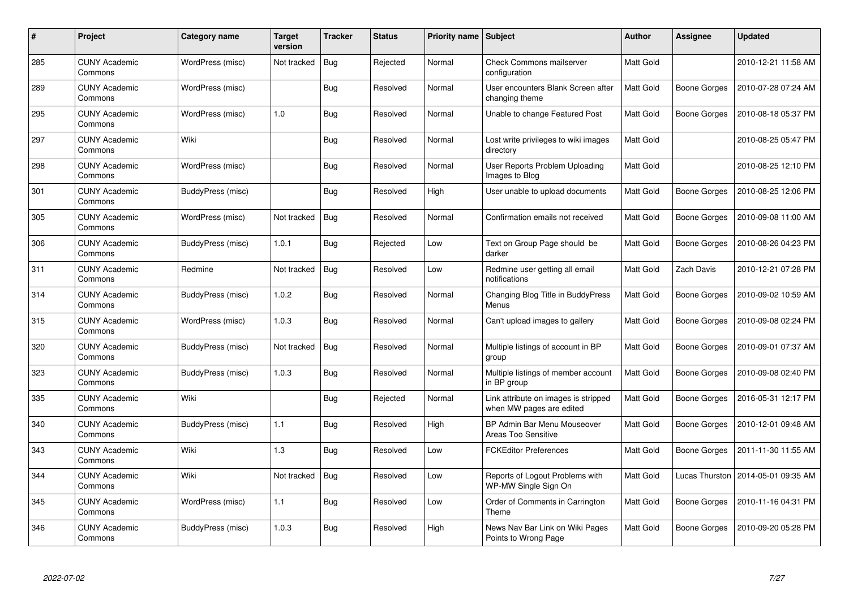| #   | Project                         | Category name     | <b>Target</b><br>version | <b>Tracker</b> | Status   | Priority name Subject |                                                                  | <b>Author</b> | Assignee       | <b>Updated</b>      |
|-----|---------------------------------|-------------------|--------------------------|----------------|----------|-----------------------|------------------------------------------------------------------|---------------|----------------|---------------------|
| 285 | <b>CUNY Academic</b><br>Commons | WordPress (misc)  | Not tracked              | <b>Bug</b>     | Rejected | Normal                | <b>Check Commons mailserver</b><br>configuration                 | Matt Gold     |                | 2010-12-21 11:58 AM |
| 289 | <b>CUNY Academic</b><br>Commons | WordPress (misc)  |                          | Bug            | Resolved | Normal                | User encounters Blank Screen after<br>changing theme             | Matt Gold     | Boone Gorges   | 2010-07-28 07:24 AM |
| 295 | <b>CUNY Academic</b><br>Commons | WordPress (misc)  | 1.0                      | <b>Bug</b>     | Resolved | Normal                | Unable to change Featured Post                                   | Matt Gold     | Boone Gorges   | 2010-08-18 05:37 PM |
| 297 | <b>CUNY Academic</b><br>Commons | Wiki              |                          | Bug            | Resolved | Normal                | Lost write privileges to wiki images<br>directory                | Matt Gold     |                | 2010-08-25 05:47 PM |
| 298 | <b>CUNY Academic</b><br>Commons | WordPress (misc)  |                          | <b>Bug</b>     | Resolved | Normal                | User Reports Problem Uploading<br>Images to Blog                 | Matt Gold     |                | 2010-08-25 12:10 PM |
| 301 | <b>CUNY Academic</b><br>Commons | BuddyPress (misc) |                          | <b>Bug</b>     | Resolved | High                  | User unable to upload documents                                  | Matt Gold     | Boone Gorges   | 2010-08-25 12:06 PM |
| 305 | <b>CUNY Academic</b><br>Commons | WordPress (misc)  | Not tracked              | <b>Bug</b>     | Resolved | Normal                | Confirmation emails not received                                 | Matt Gold     | Boone Gorges   | 2010-09-08 11:00 AM |
| 306 | <b>CUNY Academic</b><br>Commons | BuddyPress (misc) | 1.0.1                    | <b>Bug</b>     | Rejected | Low                   | Text on Group Page should be<br>darker                           | Matt Gold     | Boone Gorges   | 2010-08-26 04:23 PM |
| 311 | <b>CUNY Academic</b><br>Commons | Redmine           | Not tracked              | Bug            | Resolved | Low                   | Redmine user getting all email<br>notifications                  | Matt Gold     | Zach Davis     | 2010-12-21 07:28 PM |
| 314 | <b>CUNY Academic</b><br>Commons | BuddyPress (misc) | 1.0.2                    | <b>Bug</b>     | Resolved | Normal                | Changing Blog Title in BuddyPress<br>Menus                       | Matt Gold     | Boone Gorges   | 2010-09-02 10:59 AM |
| 315 | <b>CUNY Academic</b><br>Commons | WordPress (misc)  | 1.0.3                    | Bug            | Resolved | Normal                | Can't upload images to gallery                                   | Matt Gold     | Boone Gorges   | 2010-09-08 02:24 PM |
| 320 | <b>CUNY Academic</b><br>Commons | BuddyPress (misc) | Not tracked              | Bug            | Resolved | Normal                | Multiple listings of account in BP<br>group                      | Matt Gold     | Boone Gorges   | 2010-09-01 07:37 AM |
| 323 | <b>CUNY Academic</b><br>Commons | BuddyPress (misc) | 1.0.3                    | Bug            | Resolved | Normal                | Multiple listings of member account<br>in BP group               | Matt Gold     | Boone Gorges   | 2010-09-08 02:40 PM |
| 335 | <b>CUNY Academic</b><br>Commons | Wiki              |                          | Bug            | Rejected | Normal                | Link attribute on images is stripped<br>when MW pages are edited | Matt Gold     | Boone Gorges   | 2016-05-31 12:17 PM |
| 340 | <b>CUNY Academic</b><br>Commons | BuddyPress (misc) | 1.1                      | Bug            | Resolved | High                  | BP Admin Bar Menu Mouseover<br><b>Areas Too Sensitive</b>        | Matt Gold     | Boone Gorges   | 2010-12-01 09:48 AM |
| 343 | <b>CUNY Academic</b><br>Commons | Wiki              | 1.3                      | Bug            | Resolved | Low                   | <b>FCKEditor Preferences</b>                                     | Matt Gold     | Boone Gorges   | 2011-11-30 11:55 AM |
| 344 | <b>CUNY Academic</b><br>Commons | Wiki              | Not tracked              | <b>Bug</b>     | Resolved | Low                   | Reports of Logout Problems with<br>WP-MW Single Sign On          | Matt Gold     | Lucas Thurston | 2014-05-01 09:35 AM |
| 345 | <b>CUNY Academic</b><br>Commons | WordPress (misc)  | 1.1                      | <b>Bug</b>     | Resolved | Low                   | Order of Comments in Carrington<br>Theme                         | Matt Gold     | Boone Gorges   | 2010-11-16 04:31 PM |
| 346 | <b>CUNY Academic</b><br>Commons | BuddyPress (misc) | 1.0.3                    | <b>Bug</b>     | Resolved | High                  | News Nav Bar Link on Wiki Pages<br>Points to Wrong Page          | Matt Gold     | Boone Gorges   | 2010-09-20 05:28 PM |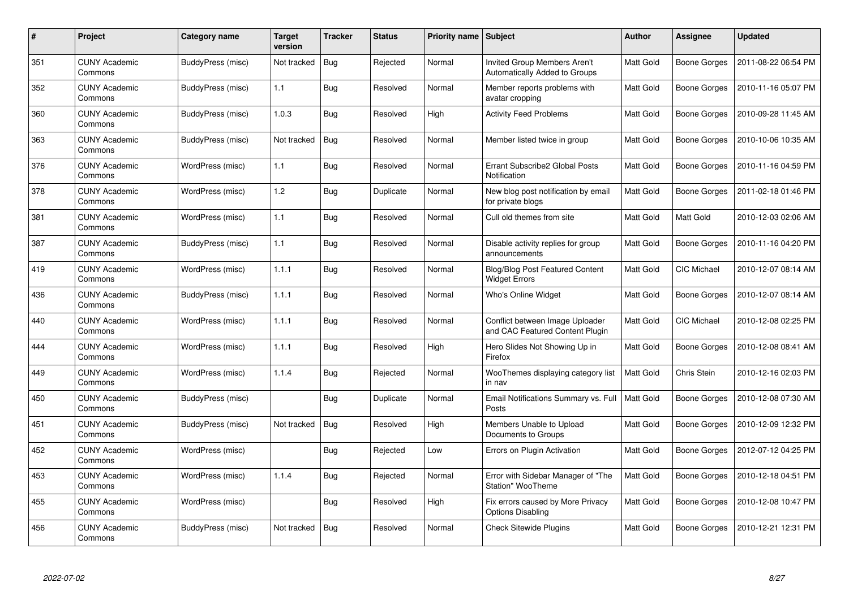| #   | Project                         | Category name     | <b>Target</b><br>version | <b>Tracker</b> | Status    | Priority name Subject |                                                                      | Author           | Assignee            | <b>Updated</b>      |
|-----|---------------------------------|-------------------|--------------------------|----------------|-----------|-----------------------|----------------------------------------------------------------------|------------------|---------------------|---------------------|
| 351 | <b>CUNY Academic</b><br>Commons | BuddyPress (misc) | Not tracked              | <b>Bug</b>     | Rejected  | Normal                | <b>Invited Group Members Aren't</b><br>Automatically Added to Groups | <b>Matt Gold</b> | <b>Boone Gorges</b> | 2011-08-22 06:54 PM |
| 352 | <b>CUNY Academic</b><br>Commons | BuddyPress (misc) | 1.1                      | Bug            | Resolved  | Normal                | Member reports problems with<br>avatar cropping                      | Matt Gold        | Boone Gorges        | 2010-11-16 05:07 PM |
| 360 | <b>CUNY Academic</b><br>Commons | BuddyPress (misc) | 1.0.3                    | Bug            | Resolved  | High                  | <b>Activity Feed Problems</b>                                        | Matt Gold        | Boone Gorges        | 2010-09-28 11:45 AM |
| 363 | <b>CUNY Academic</b><br>Commons | BuddyPress (misc) | Not tracked              | <b>Bug</b>     | Resolved  | Normal                | Member listed twice in group                                         | Matt Gold        | Boone Gorges        | 2010-10-06 10:35 AM |
| 376 | <b>CUNY Academic</b><br>Commons | WordPress (misc)  | 1.1                      | Bug            | Resolved  | Normal                | Errant Subscribe2 Global Posts<br>Notification                       | Matt Gold        | Boone Gorges        | 2010-11-16 04:59 PM |
| 378 | <b>CUNY Academic</b><br>Commons | WordPress (misc)  | 1.2                      | Bug            | Duplicate | Normal                | New blog post notification by email<br>for private blogs             | Matt Gold        | Boone Gorges        | 2011-02-18 01:46 PM |
| 381 | <b>CUNY Academic</b><br>Commons | WordPress (misc)  | 1.1                      | Bug            | Resolved  | Normal                | Cull old themes from site                                            | Matt Gold        | Matt Gold           | 2010-12-03 02:06 AM |
| 387 | <b>CUNY Academic</b><br>Commons | BuddyPress (misc) | 1.1                      | <b>Bug</b>     | Resolved  | Normal                | Disable activity replies for group<br>announcements                  | Matt Gold        | Boone Gorges        | 2010-11-16 04:20 PM |
| 419 | <b>CUNY Academic</b><br>Commons | WordPress (misc)  | 1.1.1                    | Bug            | Resolved  | Normal                | <b>Blog/Blog Post Featured Content</b><br><b>Widget Errors</b>       | Matt Gold        | CIC Michael         | 2010-12-07 08:14 AM |
| 436 | <b>CUNY Academic</b><br>Commons | BuddyPress (misc) | 1.1.1                    | <b>Bug</b>     | Resolved  | Normal                | <b>Who's Online Widget</b>                                           | Matt Gold        | Boone Gorges        | 2010-12-07 08:14 AM |
| 440 | <b>CUNY Academic</b><br>Commons | WordPress (misc)  | 1.1.1                    | Bug            | Resolved  | Normal                | Conflict between Image Uploader<br>and CAC Featured Content Plugin   | Matt Gold        | CIC Michael         | 2010-12-08 02:25 PM |
| 444 | <b>CUNY Academic</b><br>Commons | WordPress (misc)  | 1.1.1                    | <b>Bug</b>     | Resolved  | High                  | Hero Slides Not Showing Up in<br>Firefox                             | Matt Gold        | <b>Boone Gorges</b> | 2010-12-08 08:41 AM |
| 449 | <b>CUNY Academic</b><br>Commons | WordPress (misc)  | 1.1.4                    | Bug            | Rejected  | Normal                | WooThemes displaying category list<br>in nav                         | Matt Gold        | Chris Stein         | 2010-12-16 02:03 PM |
| 450 | <b>CUNY Academic</b><br>Commons | BuddyPress (misc) |                          | Bug            | Duplicate | Normal                | Email Notifications Summary vs. Full<br>Posts                        | Matt Gold        | Boone Gorges        | 2010-12-08 07:30 AM |
| 451 | <b>CUNY Academic</b><br>Commons | BuddyPress (misc) | Not tracked              | <b>Bug</b>     | Resolved  | High                  | Members Unable to Upload<br>Documents to Groups                      | Matt Gold        | Boone Gorges        | 2010-12-09 12:32 PM |
| 452 | <b>CUNY Academic</b><br>Commons | WordPress (misc)  |                          | Bug            | Rejected  | Low                   | Errors on Plugin Activation                                          | Matt Gold        | <b>Boone Gorges</b> | 2012-07-12 04:25 PM |
| 453 | <b>CUNY Academic</b><br>Commons | WordPress (misc)  | 1.1.4                    | Bug            | Rejected  | Normal                | Error with Sidebar Manager of "The<br><b>Station" WooTheme</b>       | Matt Gold        | Boone Gorges        | 2010-12-18 04:51 PM |
| 455 | <b>CUNY Academic</b><br>Commons | WordPress (misc)  |                          | Bug            | Resolved  | High                  | Fix errors caused by More Privacy<br><b>Options Disabling</b>        | Matt Gold        | Boone Gorges        | 2010-12-08 10:47 PM |
| 456 | <b>CUNY Academic</b><br>Commons | BuddyPress (misc) | Not tracked              | <b>Bug</b>     | Resolved  | Normal                | <b>Check Sitewide Plugins</b>                                        | Matt Gold        | Boone Gorges        | 2010-12-21 12:31 PM |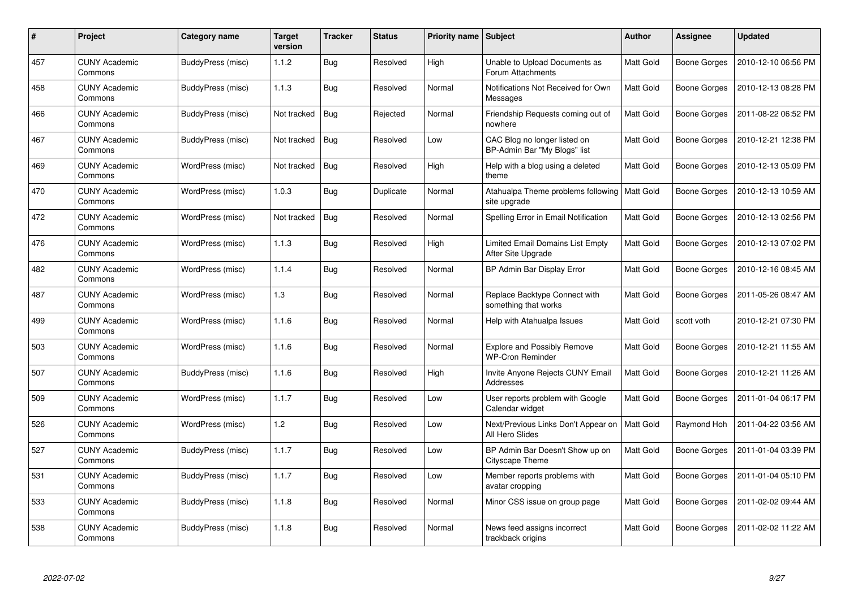| #   | Project                         | Category name     | <b>Target</b><br>version | <b>Tracker</b> | Status    | Priority name Subject |                                                                | <b>Author</b>    | Assignee            | <b>Updated</b>      |
|-----|---------------------------------|-------------------|--------------------------|----------------|-----------|-----------------------|----------------------------------------------------------------|------------------|---------------------|---------------------|
| 457 | <b>CUNY Academic</b><br>Commons | BuddyPress (misc) | 1.1.2                    | Bug            | Resolved  | High                  | Unable to Upload Documents as<br>Forum Attachments             | Matt Gold        | Boone Gorges        | 2010-12-10 06:56 PM |
| 458 | <b>CUNY Academic</b><br>Commons | BuddyPress (misc) | 1.1.3                    | Bug            | Resolved  | Normal                | Notifications Not Received for Own<br>Messages                 | Matt Gold        | Boone Gorges        | 2010-12-13 08:28 PM |
| 466 | <b>CUNY Academic</b><br>Commons | BuddyPress (misc) | Not tracked              | <b>Bug</b>     | Rejected  | Normal                | Friendship Requests coming out of<br>nowhere                   | Matt Gold        | Boone Gorges        | 2011-08-22 06:52 PM |
| 467 | <b>CUNY Academic</b><br>Commons | BuddyPress (misc) | Not tracked              | Bug            | Resolved  | Low                   | CAC Blog no longer listed on<br>BP-Admin Bar "My Blogs" list   | Matt Gold        | Boone Gorges        | 2010-12-21 12:38 PM |
| 469 | <b>CUNY Academic</b><br>Commons | WordPress (misc)  | Not tracked              | <b>Bug</b>     | Resolved  | High                  | Help with a blog using a deleted<br>theme                      | Matt Gold        | Boone Gorges        | 2010-12-13 05:09 PM |
| 470 | <b>CUNY Academic</b><br>Commons | WordPress (misc)  | 1.0.3                    | <b>Bug</b>     | Duplicate | Normal                | Atahualpa Theme problems following   Matt Gold<br>site upgrade |                  | Boone Gorges        | 2010-12-13 10:59 AM |
| 472 | <b>CUNY Academic</b><br>Commons | WordPress (misc)  | Not tracked              | <b>Bug</b>     | Resolved  | Normal                | Spelling Error in Email Notification                           | Matt Gold        | Boone Gorges        | 2010-12-13 02:56 PM |
| 476 | <b>CUNY Academic</b><br>Commons | WordPress (misc)  | 1.1.3                    | <b>Bug</b>     | Resolved  | High                  | Limited Email Domains List Empty<br>After Site Upgrade         | Matt Gold        | Boone Gorges        | 2010-12-13 07:02 PM |
| 482 | <b>CUNY Academic</b><br>Commons | WordPress (misc)  | 1.1.4                    | Bug            | Resolved  | Normal                | BP Admin Bar Display Error                                     | <b>Matt Gold</b> | Boone Gorges        | 2010-12-16 08:45 AM |
| 487 | <b>CUNY Academic</b><br>Commons | WordPress (misc)  | 1.3                      | Bug            | Resolved  | Normal                | Replace Backtype Connect with<br>something that works          | Matt Gold        | Boone Gorges        | 2011-05-26 08:47 AM |
| 499 | <b>CUNY Academic</b><br>Commons | WordPress (misc)  | 1.1.6                    | Bug            | Resolved  | Normal                | Help with Atahualpa Issues                                     | Matt Gold        | scott voth          | 2010-12-21 07:30 PM |
| 503 | <b>CUNY Academic</b><br>Commons | WordPress (misc)  | 1.1.6                    | <b>Bug</b>     | Resolved  | Normal                | <b>Explore and Possibly Remove</b><br><b>WP-Cron Reminder</b>  | Matt Gold        | <b>Boone Gorges</b> | 2010-12-21 11:55 AM |
| 507 | <b>CUNY Academic</b><br>Commons | BuddyPress (misc) | 1.1.6                    | Bug            | Resolved  | High                  | Invite Anyone Rejects CUNY Email<br>Addresses                  | Matt Gold        | Boone Gorges        | 2010-12-21 11:26 AM |
| 509 | <b>CUNY Academic</b><br>Commons | WordPress (misc)  | 1.1.7                    | <b>Bug</b>     | Resolved  | Low                   | User reports problem with Google<br>Calendar widget            | Matt Gold        | Boone Gorges        | 2011-01-04 06:17 PM |
| 526 | <b>CUNY Academic</b><br>Commons | WordPress (misc)  | 1.2                      | Bug            | Resolved  | Low                   | Next/Previous Links Don't Appear on<br>All Hero Slides         | Matt Gold        | Raymond Hoh         | 2011-04-22 03:56 AM |
| 527 | <b>CUNY Academic</b><br>Commons | BuddyPress (misc) | 1.1.7                    | <b>Bug</b>     | Resolved  | Low                   | BP Admin Bar Doesn't Show up on<br>Cityscape Theme             | Matt Gold        | Boone Gorges        | 2011-01-04 03:39 PM |
| 531 | <b>CUNY Academic</b><br>Commons | BuddyPress (misc) | 1.1.7                    | Bug            | Resolved  | Low                   | Member reports problems with<br>avatar cropping                | Matt Gold        | <b>Boone Gorges</b> | 2011-01-04 05:10 PM |
| 533 | <b>CUNY Academic</b><br>Commons | BuddyPress (misc) | 1.1.8                    | Bug            | Resolved  | Normal                | Minor CSS issue on group page                                  | Matt Gold        | Boone Gorges        | 2011-02-02 09:44 AM |
| 538 | <b>CUNY Academic</b><br>Commons | BuddyPress (misc) | 1.1.8                    | <b>Bug</b>     | Resolved  | Normal                | News feed assigns incorrect<br>trackback origins               | Matt Gold        | Boone Gorges        | 2011-02-02 11:22 AM |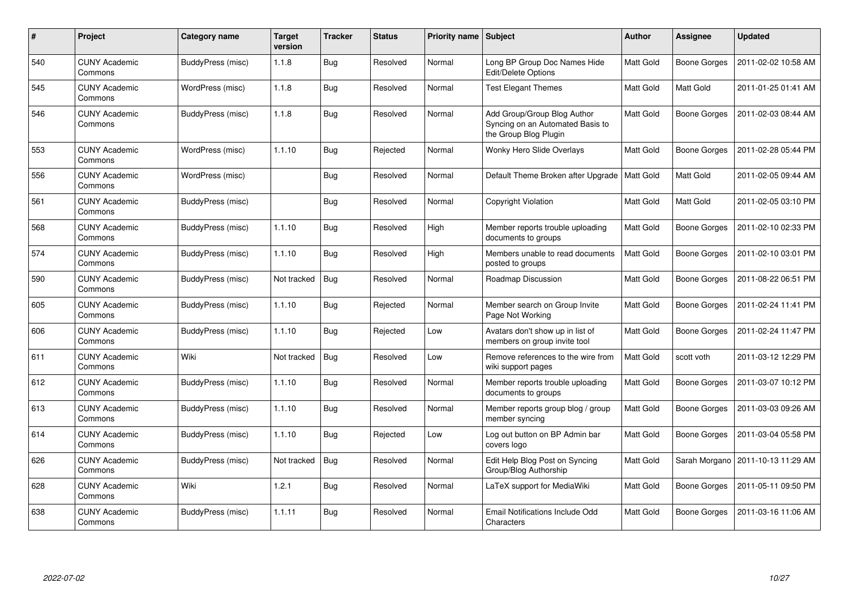| $\#$ | Project                         | <b>Category name</b> | <b>Target</b><br>version | <b>Tracker</b> | <b>Status</b> | <b>Priority name</b> | Subject                                                                                  | <b>Author</b> | <b>Assignee</b>     | <b>Updated</b>      |
|------|---------------------------------|----------------------|--------------------------|----------------|---------------|----------------------|------------------------------------------------------------------------------------------|---------------|---------------------|---------------------|
| 540  | <b>CUNY Academic</b><br>Commons | BuddyPress (misc)    | 1.1.8                    | <b>Bug</b>     | Resolved      | Normal               | Long BP Group Doc Names Hide<br>Edit/Delete Options                                      | Matt Gold     | Boone Gorges        | 2011-02-02 10:58 AM |
| 545  | <b>CUNY Academic</b><br>Commons | WordPress (misc)     | 1.1.8                    | Bug            | Resolved      | Normal               | <b>Test Elegant Themes</b>                                                               | Matt Gold     | Matt Gold           | 2011-01-25 01:41 AM |
| 546  | <b>CUNY Academic</b><br>Commons | BuddyPress (misc)    | 1.1.8                    | <b>Bug</b>     | Resolved      | Normal               | Add Group/Group Blog Author<br>Syncing on an Automated Basis to<br>the Group Blog Plugin | Matt Gold     | <b>Boone Gorges</b> | 2011-02-03 08:44 AM |
| 553  | <b>CUNY Academic</b><br>Commons | WordPress (misc)     | 1.1.10                   | Bug            | Rejected      | Normal               | <b>Wonky Hero Slide Overlays</b>                                                         | Matt Gold     | <b>Boone Gorges</b> | 2011-02-28 05:44 PM |
| 556  | <b>CUNY Academic</b><br>Commons | WordPress (misc)     |                          | Bug            | Resolved      | Normal               | Default Theme Broken after Upgrade   Matt Gold                                           |               | Matt Gold           | 2011-02-05 09:44 AM |
| 561  | <b>CUNY Academic</b><br>Commons | BuddyPress (misc)    |                          | Bug            | Resolved      | Normal               | Copyright Violation                                                                      | Matt Gold     | Matt Gold           | 2011-02-05 03:10 PM |
| 568  | <b>CUNY Academic</b><br>Commons | BuddyPress (misc)    | 1.1.10                   | Bug            | Resolved      | High                 | Member reports trouble uploading<br>documents to groups                                  | Matt Gold     | Boone Gorges        | 2011-02-10 02:33 PM |
| 574  | <b>CUNY Academic</b><br>Commons | BuddyPress (misc)    | 1.1.10                   | Bug            | Resolved      | High                 | Members unable to read documents<br>posted to groups                                     | Matt Gold     | <b>Boone Gorges</b> | 2011-02-10 03:01 PM |
| 590  | <b>CUNY Academic</b><br>Commons | BuddyPress (misc)    | Not tracked              | <b>Bug</b>     | Resolved      | Normal               | Roadmap Discussion                                                                       | Matt Gold     | <b>Boone Gorges</b> | 2011-08-22 06:51 PM |
| 605  | <b>CUNY Academic</b><br>Commons | BuddyPress (misc)    | 1.1.10                   | <b>Bug</b>     | Rejected      | Normal               | Member search on Group Invite<br>Page Not Working                                        | Matt Gold     | Boone Gorges        | 2011-02-24 11:41 PM |
| 606  | <b>CUNY Academic</b><br>Commons | BuddyPress (misc)    | 1.1.10                   | Bug            | Rejected      | Low                  | Avatars don't show up in list of<br>members on group invite tool                         | Matt Gold     | Boone Gorges        | 2011-02-24 11:47 PM |
| 611  | <b>CUNY Academic</b><br>Commons | Wiki                 | Not tracked              | Bug            | Resolved      | Low                  | Remove references to the wire from<br>wiki support pages                                 | Matt Gold     | scott voth          | 2011-03-12 12:29 PM |
| 612  | <b>CUNY Academic</b><br>Commons | BuddyPress (misc)    | 1.1.10                   | <b>Bug</b>     | Resolved      | Normal               | Member reports trouble uploading<br>documents to groups                                  | Matt Gold     | Boone Gorges        | 2011-03-07 10:12 PM |
| 613  | <b>CUNY Academic</b><br>Commons | BuddyPress (misc)    | 1.1.10                   | Bug            | Resolved      | Normal               | Member reports group blog / group<br>member syncing                                      | Matt Gold     | Boone Gorges        | 2011-03-03 09:26 AM |
| 614  | <b>CUNY Academic</b><br>Commons | BuddyPress (misc)    | 1.1.10                   | Bug            | Rejected      | Low                  | Log out button on BP Admin bar<br>covers logo                                            | Matt Gold     | Boone Gorges        | 2011-03-04 05:58 PM |
| 626  | <b>CUNY Academic</b><br>Commons | BuddyPress (misc)    | Not tracked              | <b>Bug</b>     | Resolved      | Normal               | Edit Help Blog Post on Syncing<br>Group/Blog Authorship                                  | Matt Gold     | Sarah Morgano       | 2011-10-13 11:29 AM |
| 628  | <b>CUNY Academic</b><br>Commons | Wiki                 | 1.2.1                    | Bug            | Resolved      | Normal               | LaTeX support for MediaWiki                                                              | Matt Gold     | Boone Gorges        | 2011-05-11 09:50 PM |
| 638  | <b>CUNY Academic</b><br>Commons | BuddyPress (misc)    | 1.1.11                   | Bug            | Resolved      | Normal               | Email Notifications Include Odd<br>Characters                                            | Matt Gold     | Boone Gorges        | 2011-03-16 11:06 AM |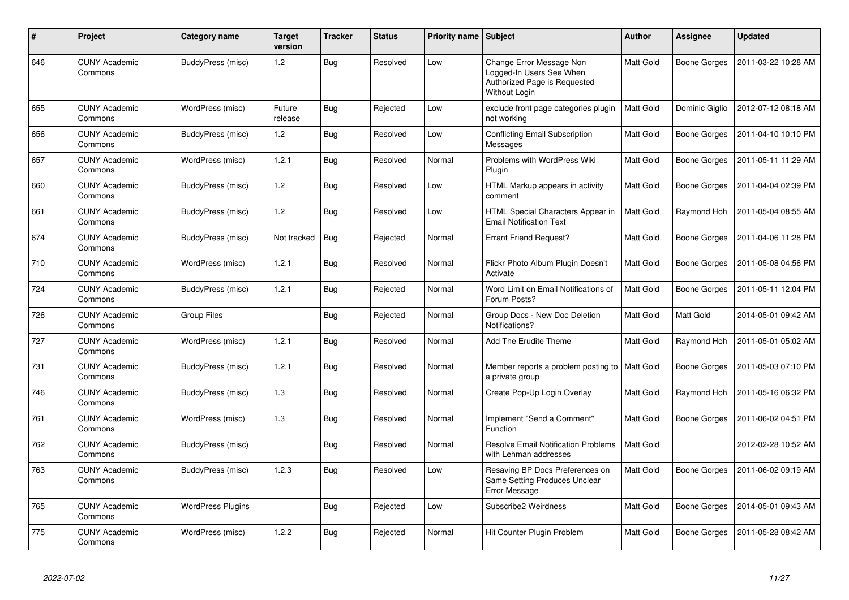| $\pmb{\#}$ | Project                         | Category name            | <b>Target</b><br>version | <b>Tracker</b> | <b>Status</b> | <b>Priority name Subject</b> |                                                                                                              | <b>Author</b> | <b>Assignee</b>     | <b>Updated</b>      |
|------------|---------------------------------|--------------------------|--------------------------|----------------|---------------|------------------------------|--------------------------------------------------------------------------------------------------------------|---------------|---------------------|---------------------|
| 646        | <b>CUNY Academic</b><br>Commons | BuddyPress (misc)        | $1.2$                    | Bug            | Resolved      | Low                          | Change Error Message Non<br>Logged-In Users See When<br>Authorized Page is Requested<br><b>Without Login</b> | Matt Gold     | Boone Gorges        | 2011-03-22 10:28 AM |
| 655        | <b>CUNY Academic</b><br>Commons | WordPress (misc)         | Future<br>release        | Bug            | Rejected      | Low                          | exclude front page categories plugin<br>not working                                                          | Matt Gold     | Dominic Giglio      | 2012-07-12 08:18 AM |
| 656        | <b>CUNY Academic</b><br>Commons | BuddyPress (misc)        | 1.2                      | Bug            | Resolved      | Low                          | <b>Conflicting Email Subscription</b><br>Messages                                                            | Matt Gold     | Boone Gorges        | 2011-04-10 10:10 PM |
| 657        | <b>CUNY Academic</b><br>Commons | WordPress (misc)         | 1.2.1                    | Bug            | Resolved      | Normal                       | Problems with WordPress Wiki<br>Plugin                                                                       | Matt Gold     | Boone Gorges        | 2011-05-11 11:29 AM |
| 660        | <b>CUNY Academic</b><br>Commons | BuddyPress (misc)        | $1.2$                    | Bug            | Resolved      | Low                          | HTML Markup appears in activity<br>comment                                                                   | Matt Gold     | Boone Gorges        | 2011-04-04 02:39 PM |
| 661        | <b>CUNY Academic</b><br>Commons | BuddyPress (misc)        | $1.2$                    | Bug            | Resolved      | Low                          | HTML Special Characters Appear in<br><b>Email Notification Text</b>                                          | Matt Gold     | Raymond Hoh         | 2011-05-04 08:55 AM |
| 674        | <b>CUNY Academic</b><br>Commons | BuddyPress (misc)        | Not tracked              | Bug            | Rejected      | Normal                       | <b>Errant Friend Request?</b>                                                                                | Matt Gold     | Boone Gorges        | 2011-04-06 11:28 PM |
| 710        | <b>CUNY Academic</b><br>Commons | WordPress (misc)         | 1.2.1                    | Bug            | Resolved      | Normal                       | Flickr Photo Album Plugin Doesn't<br>Activate                                                                | Matt Gold     | Boone Gorges        | 2011-05-08 04:56 PM |
| 724        | <b>CUNY Academic</b><br>Commons | BuddyPress (misc)        | 1.2.1                    | Bug            | Rejected      | Normal                       | Word Limit on Email Notifications of<br>Forum Posts?                                                         | Matt Gold     | <b>Boone Gorges</b> | 2011-05-11 12:04 PM |
| 726        | <b>CUNY Academic</b><br>Commons | <b>Group Files</b>       |                          | Bug            | Rejected      | Normal                       | Group Docs - New Doc Deletion<br>Notifications?                                                              | Matt Gold     | Matt Gold           | 2014-05-01 09:42 AM |
| 727        | <b>CUNY Academic</b><br>Commons | WordPress (misc)         | 1.2.1                    | Bug            | Resolved      | Normal                       | Add The Erudite Theme                                                                                        | Matt Gold     | Raymond Hoh         | 2011-05-01 05:02 AM |
| 731        | <b>CUNY Academic</b><br>Commons | BuddyPress (misc)        | 1.2.1                    | Bug            | Resolved      | Normal                       | Member reports a problem posting to   Matt Gold<br>a private group                                           |               | Boone Gorges        | 2011-05-03 07:10 PM |
| 746        | <b>CUNY Academic</b><br>Commons | BuddyPress (misc)        | 1.3                      | Bug            | Resolved      | Normal                       | Create Pop-Up Login Overlay                                                                                  | Matt Gold     | Raymond Hoh         | 2011-05-16 06:32 PM |
| 761        | <b>CUNY Academic</b><br>Commons | WordPress (misc)         | 1.3                      | <b>Bug</b>     | Resolved      | Normal                       | Implement "Send a Comment"<br>Function                                                                       | Matt Gold     | Boone Gorges        | 2011-06-02 04:51 PM |
| 762        | <b>CUNY Academic</b><br>Commons | BuddyPress (misc)        |                          | Bug            | Resolved      | Normal                       | <b>Resolve Email Notification Problems</b><br>with Lehman addresses                                          | Matt Gold     |                     | 2012-02-28 10:52 AM |
| 763        | <b>CUNY Academic</b><br>Commons | BuddyPress (misc)        | 1.2.3                    | <b>Bug</b>     | Resolved      | Low                          | Resaving BP Docs Preferences on<br>Same Setting Produces Unclear<br>Error Message                            | Matt Gold     | Boone Gorges        | 2011-06-02 09:19 AM |
| 765        | <b>CUNY Academic</b><br>Commons | <b>WordPress Plugins</b> |                          | Bug            | Rejected      | Low                          | Subscribe2 Weirdness                                                                                         | Matt Gold     | Boone Gorges        | 2014-05-01 09:43 AM |
| 775        | <b>CUNY Academic</b><br>Commons | WordPress (misc)         | 1.2.2                    | Bug            | Rejected      | Normal                       | Hit Counter Plugin Problem                                                                                   | Matt Gold     | Boone Gorges        | 2011-05-28 08:42 AM |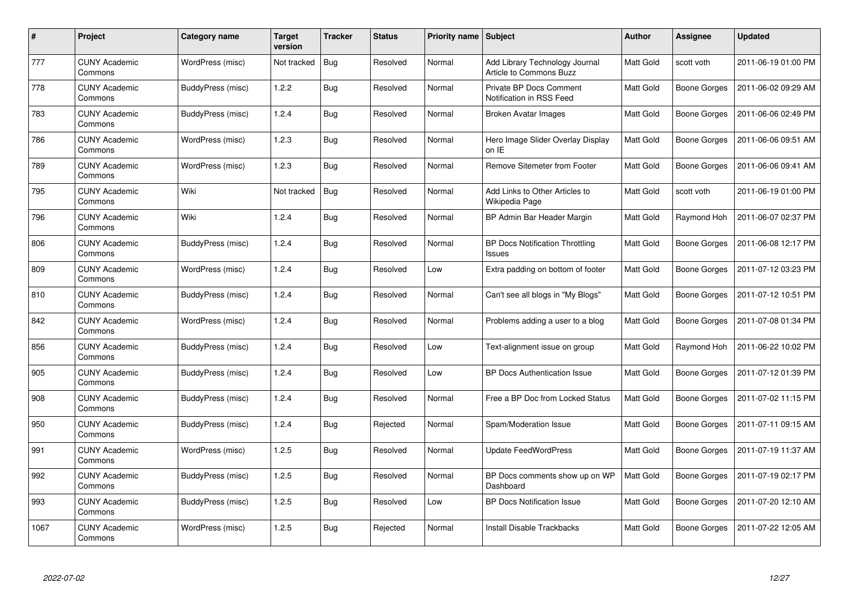| $\#$ | Project                         | Category name     | <b>Target</b><br>version | <b>Tracker</b> | <b>Status</b> | <b>Priority name   Subject</b> |                                                            | <b>Author</b> | Assignee            | <b>Updated</b>      |
|------|---------------------------------|-------------------|--------------------------|----------------|---------------|--------------------------------|------------------------------------------------------------|---------------|---------------------|---------------------|
| 777  | <b>CUNY Academic</b><br>Commons | WordPress (misc)  | Not tracked              | Bug            | Resolved      | Normal                         | Add Library Technology Journal<br>Article to Commons Buzz  | Matt Gold     | scott voth          | 2011-06-19 01:00 PM |
| 778  | <b>CUNY Academic</b><br>Commons | BuddyPress (misc) | 1.2.2                    | Bug            | Resolved      | Normal                         | <b>Private BP Docs Comment</b><br>Notification in RSS Feed | Matt Gold     | Boone Gorges        | 2011-06-02 09:29 AM |
| 783  | <b>CUNY Academic</b><br>Commons | BuddyPress (misc) | 1.2.4                    | <b>Bug</b>     | Resolved      | Normal                         | Broken Avatar Images                                       | Matt Gold     | Boone Gorges        | 2011-06-06 02:49 PM |
| 786  | <b>CUNY Academic</b><br>Commons | WordPress (misc)  | 1.2.3                    | <b>Bug</b>     | Resolved      | Normal                         | Hero Image Slider Overlay Display<br>on IE                 | Matt Gold     | Boone Gorges        | 2011-06-06 09:51 AM |
| 789  | <b>CUNY Academic</b><br>Commons | WordPress (misc)  | 1.2.3                    | Bug            | Resolved      | Normal                         | Remove Sitemeter from Footer                               | Matt Gold     | <b>Boone Gorges</b> | 2011-06-06 09:41 AM |
| 795  | <b>CUNY Academic</b><br>Commons | Wiki              | Not tracked              | Bug            | Resolved      | Normal                         | Add Links to Other Articles to<br>Wikipedia Page           | Matt Gold     | scott voth          | 2011-06-19 01:00 PM |
| 796  | <b>CUNY Academic</b><br>Commons | Wiki              | 1.2.4                    | Bug            | Resolved      | Normal                         | BP Admin Bar Header Margin                                 | Matt Gold     | Raymond Hoh         | 2011-06-07 02:37 PM |
| 806  | <b>CUNY Academic</b><br>Commons | BuddyPress (misc) | 1.2.4                    | <b>Bug</b>     | Resolved      | Normal                         | <b>BP Docs Notification Throttling</b><br><b>Issues</b>    | Matt Gold     | Boone Gorges        | 2011-06-08 12:17 PM |
| 809  | <b>CUNY Academic</b><br>Commons | WordPress (misc)  | 1.2.4                    | Bug            | Resolved      | Low                            | Extra padding on bottom of footer                          | Matt Gold     | Boone Gorges        | 2011-07-12 03:23 PM |
| 810  | <b>CUNY Academic</b><br>Commons | BuddyPress (misc) | 1.2.4                    | Bug            | Resolved      | Normal                         | Can't see all blogs in "My Blogs"                          | Matt Gold     | Boone Gorges        | 2011-07-12 10:51 PM |
| 842  | <b>CUNY Academic</b><br>Commons | WordPress (misc)  | 1.2.4                    | Bug            | Resolved      | Normal                         | Problems adding a user to a blog                           | Matt Gold     | Boone Gorges        | 2011-07-08 01:34 PM |
| 856  | <b>CUNY Academic</b><br>Commons | BuddyPress (misc) | 1.2.4                    | <b>Bug</b>     | Resolved      | Low                            | Text-alignment issue on group                              | Matt Gold     | Raymond Hoh         | 2011-06-22 10:02 PM |
| 905  | <b>CUNY Academic</b><br>Commons | BuddyPress (misc) | 1.2.4                    | Bug            | Resolved      | Low                            | <b>BP Docs Authentication Issue</b>                        | Matt Gold     | Boone Gorges        | 2011-07-12 01:39 PM |
| 908  | <b>CUNY Academic</b><br>Commons | BuddyPress (misc) | 1.2.4                    | Bug            | Resolved      | Normal                         | Free a BP Doc from Locked Status                           | Matt Gold     | Boone Gorges        | 2011-07-02 11:15 PM |
| 950  | <b>CUNY Academic</b><br>Commons | BuddyPress (misc) | 1.2.4                    | <b>Bug</b>     | Rejected      | Normal                         | Spam/Moderation Issue                                      | Matt Gold     | Boone Gorges        | 2011-07-11 09:15 AM |
| 991  | <b>CUNY Academic</b><br>Commons | WordPress (misc)  | 1.2.5                    | Bug            | Resolved      | Normal                         | <b>Update FeedWordPress</b>                                | Matt Gold     | Boone Gorges        | 2011-07-19 11:37 AM |
| 992  | <b>CUNY Academic</b><br>Commons | BuddyPress (misc) | 1.2.5                    | Bug            | Resolved      | Normal                         | BP Docs comments show up on WP<br>Dashboard                | Matt Gold     | Boone Gorges        | 2011-07-19 02:17 PM |
| 993  | <b>CUNY Academic</b><br>Commons | BuddyPress (misc) | 1.2.5                    | <b>Bug</b>     | Resolved      | Low                            | <b>BP Docs Notification Issue</b>                          | Matt Gold     | Boone Gorges        | 2011-07-20 12:10 AM |
| 1067 | <b>CUNY Academic</b><br>Commons | WordPress (misc)  | 1.2.5                    | <b>Bug</b>     | Rejected      | Normal                         | <b>Install Disable Trackbacks</b>                          | Matt Gold     | Boone Gorges        | 2011-07-22 12:05 AM |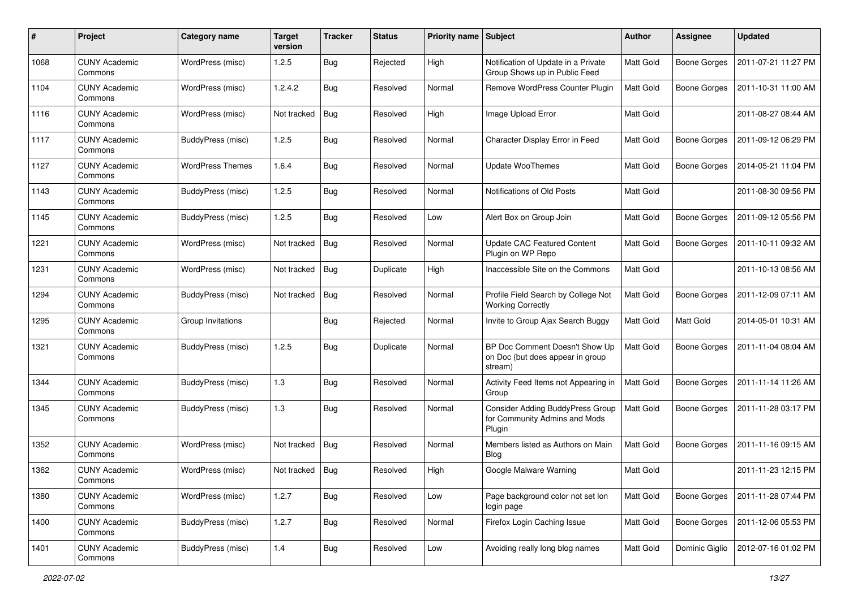| $\#$ | Project                         | Category name           | <b>Target</b><br>version | <b>Tracker</b> | <b>Status</b> | <b>Priority name Subject</b> |                                                                               | Author           | <b>Assignee</b>     | <b>Updated</b>      |
|------|---------------------------------|-------------------------|--------------------------|----------------|---------------|------------------------------|-------------------------------------------------------------------------------|------------------|---------------------|---------------------|
| 1068 | <b>CUNY Academic</b><br>Commons | WordPress (misc)        | 1.2.5                    | Bug            | Rejected      | High                         | Notification of Update in a Private<br>Group Shows up in Public Feed          | <b>Matt Gold</b> | <b>Boone Gorges</b> | 2011-07-21 11:27 PM |
| 1104 | <b>CUNY Academic</b><br>Commons | WordPress (misc)        | 1.2.4.2                  | Bug            | Resolved      | Normal                       | Remove WordPress Counter Plugin                                               | Matt Gold        | <b>Boone Gorges</b> | 2011-10-31 11:00 AM |
| 1116 | <b>CUNY Academic</b><br>Commons | WordPress (misc)        | Not tracked              | <b>Bug</b>     | Resolved      | High                         | Image Upload Error                                                            | Matt Gold        |                     | 2011-08-27 08:44 AM |
| 1117 | <b>CUNY Academic</b><br>Commons | BuddyPress (misc)       | 1.2.5                    | Bug            | Resolved      | Normal                       | Character Display Error in Feed                                               | <b>Matt Gold</b> | <b>Boone Gorges</b> | 2011-09-12 06:29 PM |
| 1127 | <b>CUNY Academic</b><br>Commons | <b>WordPress Themes</b> | 1.6.4                    | <b>Bug</b>     | Resolved      | Normal                       | <b>Update WooThemes</b>                                                       | <b>Matt Gold</b> | <b>Boone Gorges</b> | 2014-05-21 11:04 PM |
| 1143 | <b>CUNY Academic</b><br>Commons | BuddyPress (misc)       | 1.2.5                    | Bug            | Resolved      | Normal                       | Notifications of Old Posts                                                    | Matt Gold        |                     | 2011-08-30 09:56 PM |
| 1145 | <b>CUNY Academic</b><br>Commons | BuddyPress (misc)       | 1.2.5                    | Bug            | Resolved      | Low                          | Alert Box on Group Join                                                       | Matt Gold        | <b>Boone Gorges</b> | 2011-09-12 05:56 PM |
| 1221 | <b>CUNY Academic</b><br>Commons | WordPress (misc)        | Not tracked              | <b>Bug</b>     | Resolved      | Normal                       | <b>Update CAC Featured Content</b><br>Plugin on WP Repo                       | Matt Gold        | <b>Boone Gorges</b> | 2011-10-11 09:32 AM |
| 1231 | <b>CUNY Academic</b><br>Commons | WordPress (misc)        | Not tracked              | Bug            | Duplicate     | High                         | Inaccessible Site on the Commons                                              | Matt Gold        |                     | 2011-10-13 08:56 AM |
| 1294 | <b>CUNY Academic</b><br>Commons | BuddyPress (misc)       | Not tracked              | <b>Bug</b>     | Resolved      | Normal                       | Profile Field Search by College Not<br><b>Working Correctly</b>               | Matt Gold        | <b>Boone Gorges</b> | 2011-12-09 07:11 AM |
| 1295 | <b>CUNY Academic</b><br>Commons | Group Invitations       |                          | Bug            | Rejected      | Normal                       | Invite to Group Ajax Search Buggy                                             | Matt Gold        | <b>Matt Gold</b>    | 2014-05-01 10:31 AM |
| 1321 | <b>CUNY Academic</b><br>Commons | BuddyPress (misc)       | 1.2.5                    | Bug            | Duplicate     | Normal                       | BP Doc Comment Doesn't Show Up<br>on Doc (but does appear in group<br>stream) | Matt Gold        | <b>Boone Gorges</b> | 2011-11-04 08:04 AM |
| 1344 | <b>CUNY Academic</b><br>Commons | BuddyPress (misc)       | 1.3                      | Bug            | Resolved      | Normal                       | Activity Feed Items not Appearing in<br>Group                                 | Matt Gold        | <b>Boone Gorges</b> | 2011-11-14 11:26 AM |
| 1345 | <b>CUNY Academic</b><br>Commons | BuddyPress (misc)       | 1.3                      | Bug            | Resolved      | Normal                       | Consider Adding BuddyPress Group<br>for Community Admins and Mods<br>Plugin   | Matt Gold        | <b>Boone Gorges</b> | 2011-11-28 03:17 PM |
| 1352 | <b>CUNY Academic</b><br>Commons | WordPress (misc)        | Not tracked              | Bug            | Resolved      | Normal                       | Members listed as Authors on Main<br><b>Blog</b>                              | Matt Gold        | <b>Boone Gorges</b> | 2011-11-16 09:15 AM |
| 1362 | <b>CUNY Academic</b><br>∪ommons | WordPress (misc)        | Not tracked              | Bug            | Resolved      | High                         | Google Malware Warning                                                        | Matt Gold        |                     | 2011-11-23 12:15 PM |
| 1380 | <b>CUNY Academic</b><br>Commons | WordPress (misc)        | 1.2.7                    | <b>Bug</b>     | Resolved      | Low                          | Page background color not set lon<br>login page                               | Matt Gold        | <b>Boone Gorges</b> | 2011-11-28 07:44 PM |
| 1400 | <b>CUNY Academic</b><br>Commons | BuddyPress (misc)       | 1.2.7                    | <b>Bug</b>     | Resolved      | Normal                       | Firefox Login Caching Issue                                                   | Matt Gold        | Boone Gorges        | 2011-12-06 05:53 PM |
| 1401 | <b>CUNY Academic</b><br>Commons | BuddyPress (misc)       | $1.4$                    | Bug            | Resolved      | Low                          | Avoiding really long blog names                                               | Matt Gold        | Dominic Giglio      | 2012-07-16 01:02 PM |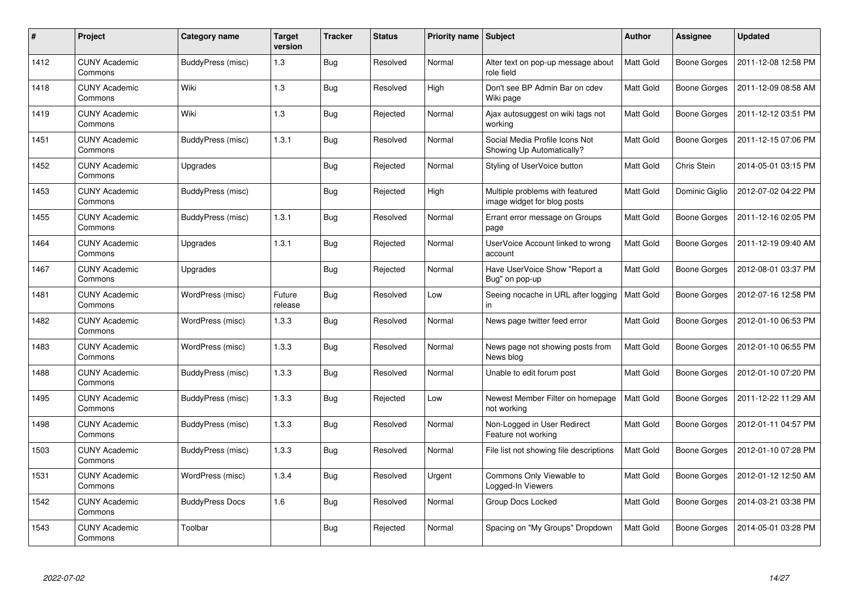| #    | Project                         | Category name          | <b>Target</b><br>version | <b>Tracker</b> | <b>Status</b> | <b>Priority name</b> | Subject                                                        | <b>Author</b> | <b>Assignee</b>     | <b>Updated</b>      |
|------|---------------------------------|------------------------|--------------------------|----------------|---------------|----------------------|----------------------------------------------------------------|---------------|---------------------|---------------------|
| 1412 | <b>CUNY Academic</b><br>Commons | BuddyPress (misc)      | 1.3                      | <b>Bug</b>     | Resolved      | Normal               | Alter text on pop-up message about<br>role field               | Matt Gold     | Boone Gorges        | 2011-12-08 12:58 PM |
| 1418 | <b>CUNY Academic</b><br>Commons | Wiki                   | 1.3                      | Bug            | Resolved      | High                 | Don't see BP Admin Bar on cdev<br>Wiki page                    | Matt Gold     | Boone Gorges        | 2011-12-09 08:58 AM |
| 1419 | <b>CUNY Academic</b><br>Commons | Wiki                   | 1.3                      | Bug            | Rejected      | Normal               | Ajax autosuggest on wiki tags not<br>working                   | Matt Gold     | Boone Gorges        | 2011-12-12 03:51 PM |
| 1451 | <b>CUNY Academic</b><br>Commons | BuddyPress (misc)      | 1.3.1                    | <b>Bug</b>     | Resolved      | Normal               | Social Media Profile Icons Not<br>Showing Up Automatically?    | Matt Gold     | Boone Gorges        | 2011-12-15 07:06 PM |
| 1452 | <b>CUNY Academic</b><br>Commons | Upgrades               |                          | Bug            | Rejected      | Normal               | Styling of UserVoice button                                    | Matt Gold     | Chris Stein         | 2014-05-01 03:15 PM |
| 1453 | <b>CUNY Academic</b><br>Commons | BuddyPress (misc)      |                          | <b>Bug</b>     | Rejected      | High                 | Multiple problems with featured<br>image widget for blog posts | Matt Gold     | Dominic Giglio      | 2012-07-02 04:22 PM |
| 1455 | <b>CUNY Academic</b><br>Commons | BuddyPress (misc)      | 1.3.1                    | Bug            | Resolved      | Normal               | Errant error message on Groups<br>page                         | Matt Gold     | Boone Gorges        | 2011-12-16 02:05 PM |
| 1464 | <b>CUNY Academic</b><br>Commons | Upgrades               | 1.3.1                    | Bug            | Rejected      | Normal               | UserVoice Account linked to wrong<br>account                   | Matt Gold     | Boone Gorges        | 2011-12-19 09:40 AM |
| 1467 | <b>CUNY Academic</b><br>Commons | Upgrades               |                          | <b>Bug</b>     | Rejected      | Normal               | Have UserVoice Show "Report a<br>Bug" on pop-up                | Matt Gold     | Boone Gorges        | 2012-08-01 03:37 PM |
| 1481 | <b>CUNY Academic</b><br>Commons | WordPress (misc)       | Future<br>release        | Bug            | Resolved      | Low                  | Seeing nocache in URL after logging<br>in                      | Matt Gold     | Boone Gorges        | 2012-07-16 12:58 PM |
| 1482 | <b>CUNY Academic</b><br>Commons | WordPress (misc)       | 1.3.3                    | Bug            | Resolved      | Normal               | News page twitter feed error                                   | Matt Gold     | Boone Gorges        | 2012-01-10 06:53 PM |
| 1483 | <b>CUNY Academic</b><br>Commons | WordPress (misc)       | 1.3.3                    | Bug            | Resolved      | Normal               | News page not showing posts from<br>News blog                  | Matt Gold     | Boone Gorges        | 2012-01-10 06:55 PM |
| 1488 | <b>CUNY Academic</b><br>Commons | BuddyPress (misc)      | 1.3.3                    | Bug            | Resolved      | Normal               | Unable to edit forum post                                      | Matt Gold     | Boone Gorges        | 2012-01-10 07:20 PM |
| 1495 | <b>CUNY Academic</b><br>Commons | BuddyPress (misc)      | 1.3.3                    | <b>Bug</b>     | Rejected      | Low                  | Newest Member Filter on homepage<br>not working                | Matt Gold     | <b>Boone Gorges</b> | 2011-12-22 11:29 AM |
| 1498 | <b>CUNY Academic</b><br>Commons | BuddyPress (misc)      | 1.3.3                    | <b>Bug</b>     | Resolved      | Normal               | Non-Logged in User Redirect<br>Feature not working             | Matt Gold     | Boone Gorges        | 2012-01-11 04:57 PM |
| 1503 | <b>CUNY Academic</b><br>Commons | BuddyPress (misc)      | 1.3.3                    | Bug            | Resolved      | Normal               | File list not showing file descriptions                        | Matt Gold     | Boone Gorges        | 2012-01-10 07:28 PM |
| 1531 | <b>CUNY Academic</b><br>Commons | WordPress (misc)       | 1.3.4                    | <b>Bug</b>     | Resolved      | Urgent               | Commons Only Viewable to<br>Logged-In Viewers                  | Matt Gold     | Boone Gorges        | 2012-01-12 12:50 AM |
| 1542 | <b>CUNY Academic</b><br>Commons | <b>BuddyPress Docs</b> | 1.6                      | Bug            | Resolved      | Normal               | Group Docs Locked                                              | Matt Gold     | Boone Gorges        | 2014-03-21 03:38 PM |
| 1543 | <b>CUNY Academic</b><br>Commons | Toolbar                |                          | <b>Bug</b>     | Rejected      | Normal               | Spacing on "My Groups" Dropdown                                | Matt Gold     | Boone Gorges        | 2014-05-01 03:28 PM |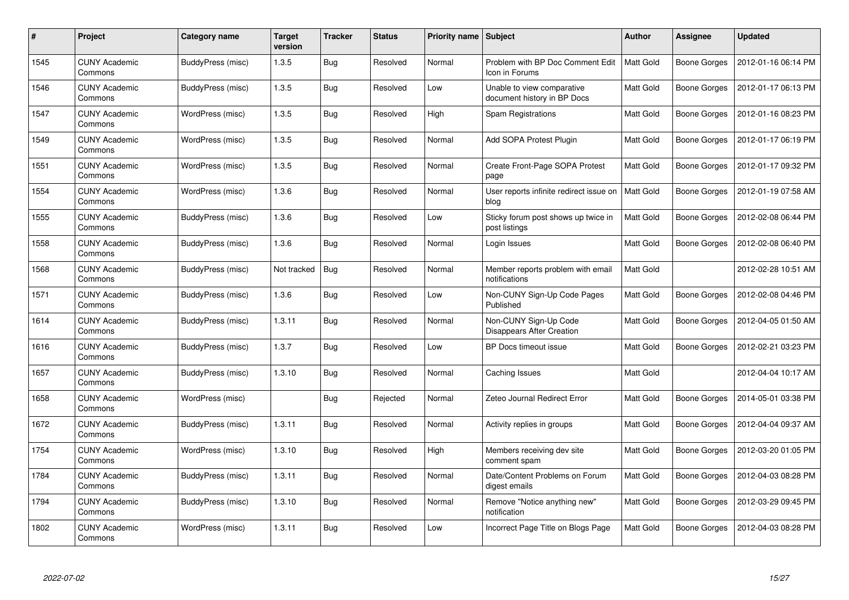| $\#$ | Project                         | Category name     | <b>Target</b><br>version | <b>Tracker</b> | <b>Status</b> | Priority name Subject |                                                           | <b>Author</b> | Assignee            | <b>Updated</b>      |
|------|---------------------------------|-------------------|--------------------------|----------------|---------------|-----------------------|-----------------------------------------------------------|---------------|---------------------|---------------------|
| 1545 | <b>CUNY Academic</b><br>Commons | BuddyPress (misc) | 1.3.5                    | Bug            | Resolved      | Normal                | Problem with BP Doc Comment Edit<br>Icon in Forums        | Matt Gold     | <b>Boone Gorges</b> | 2012-01-16 06:14 PM |
| 1546 | <b>CUNY Academic</b><br>Commons | BuddyPress (misc) | 1.3.5                    | Bug            | Resolved      | Low                   | Unable to view comparative<br>document history in BP Docs | Matt Gold     | Boone Gorges        | 2012-01-17 06:13 PM |
| 1547 | <b>CUNY Academic</b><br>Commons | WordPress (misc)  | 1.3.5                    | Bug            | Resolved      | High                  | <b>Spam Registrations</b>                                 | Matt Gold     | Boone Gorges        | 2012-01-16 08:23 PM |
| 1549 | <b>CUNY Academic</b><br>Commons | WordPress (misc)  | 1.3.5                    | <b>Bug</b>     | Resolved      | Normal                | Add SOPA Protest Plugin                                   | Matt Gold     | Boone Gorges        | 2012-01-17 06:19 PM |
| 1551 | <b>CUNY Academic</b><br>Commons | WordPress (misc)  | 1.3.5                    | Bug            | Resolved      | Normal                | Create Front-Page SOPA Protest<br>page                    | Matt Gold     | Boone Gorges        | 2012-01-17 09:32 PM |
| 1554 | <b>CUNY Academic</b><br>Commons | WordPress (misc)  | 1.3.6                    | Bug            | Resolved      | Normal                | User reports infinite redirect issue on<br>blog           | Matt Gold     | Boone Gorges        | 2012-01-19 07:58 AM |
| 1555 | <b>CUNY Academic</b><br>Commons | BuddyPress (misc) | 1.3.6                    | Bug            | Resolved      | Low                   | Sticky forum post shows up twice in<br>post listings      | Matt Gold     | Boone Gorges        | 2012-02-08 06:44 PM |
| 1558 | <b>CUNY Academic</b><br>Commons | BuddyPress (misc) | 1.3.6                    | <b>Bug</b>     | Resolved      | Normal                | Login Issues                                              | Matt Gold     | Boone Gorges        | 2012-02-08 06:40 PM |
| 1568 | <b>CUNY Academic</b><br>Commons | BuddyPress (misc) | Not tracked              | Bug            | Resolved      | Normal                | Member reports problem with email<br>notifications        | Matt Gold     |                     | 2012-02-28 10:51 AM |
| 1571 | <b>CUNY Academic</b><br>Commons | BuddyPress (misc) | 1.3.6                    | <b>Bug</b>     | Resolved      | Low                   | Non-CUNY Sign-Up Code Pages<br>Published                  | Matt Gold     | Boone Gorges        | 2012-02-08 04:46 PM |
| 1614 | <b>CUNY Academic</b><br>Commons | BuddyPress (misc) | 1.3.11                   | <b>Bug</b>     | Resolved      | Normal                | Non-CUNY Sign-Up Code<br><b>Disappears After Creation</b> | Matt Gold     | Boone Gorges        | 2012-04-05 01:50 AM |
| 1616 | <b>CUNY Academic</b><br>Commons | BuddyPress (misc) | 1.3.7                    | <b>Bug</b>     | Resolved      | Low                   | BP Docs timeout issue                                     | Matt Gold     | <b>Boone Gorges</b> | 2012-02-21 03:23 PM |
| 1657 | <b>CUNY Academic</b><br>Commons | BuddyPress (misc) | 1.3.10                   | Bug            | Resolved      | Normal                | Caching Issues                                            | Matt Gold     |                     | 2012-04-04 10:17 AM |
| 1658 | <b>CUNY Academic</b><br>Commons | WordPress (misc)  |                          | Bug            | Rejected      | Normal                | Zeteo Journal Redirect Error                              | Matt Gold     | Boone Gorges        | 2014-05-01 03:38 PM |
| 1672 | <b>CUNY Academic</b><br>Commons | BuddyPress (misc) | 1.3.11                   | <b>Bug</b>     | Resolved      | Normal                | Activity replies in groups                                | Matt Gold     | Boone Gorges        | 2012-04-04 09:37 AM |
| 1754 | <b>CUNY Academic</b><br>Commons | WordPress (misc)  | 1.3.10                   | Bug            | Resolved      | High                  | Members receiving dev site<br>comment spam                | Matt Gold     | Boone Gorges        | 2012-03-20 01:05 PM |
| 1784 | <b>CUNY Academic</b><br>Commons | BuddyPress (misc) | 1.3.11                   | Bug            | Resolved      | Normal                | Date/Content Problems on Forum<br>digest emails           | Matt Gold     | Boone Gorges        | 2012-04-03 08:28 PM |
| 1794 | <b>CUNY Academic</b><br>Commons | BuddyPress (misc) | 1.3.10                   | <b>Bug</b>     | Resolved      | Normal                | Remove "Notice anything new"<br>notification              | Matt Gold     | Boone Gorges        | 2012-03-29 09:45 PM |
| 1802 | <b>CUNY Academic</b><br>Commons | WordPress (misc)  | 1.3.11                   | <b>Bug</b>     | Resolved      | Low                   | Incorrect Page Title on Blogs Page                        | Matt Gold     | Boone Gorges        | 2012-04-03 08:28 PM |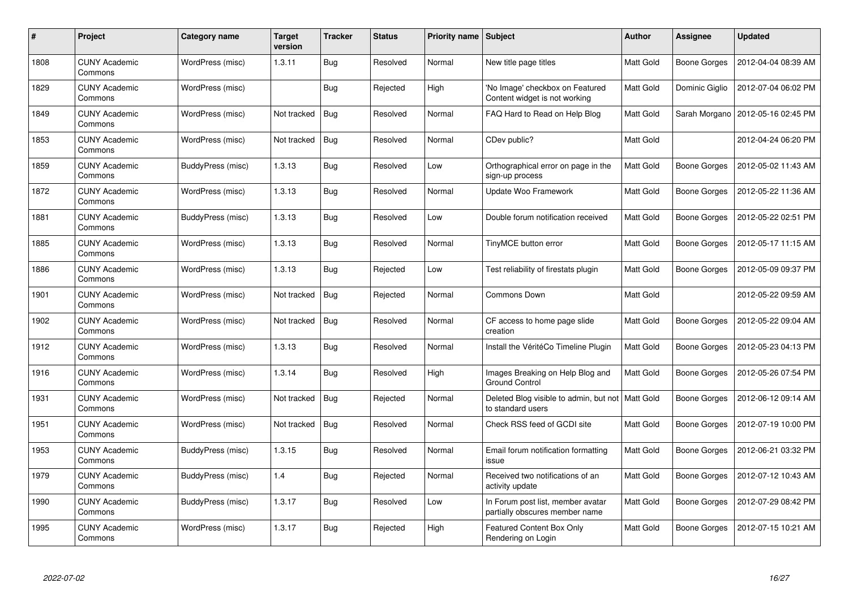| $\#$ | <b>Project</b>                  | Category name     | <b>Target</b><br>version | <b>Tracker</b> | <b>Status</b> | <b>Priority name   Subject</b> |                                                                         | <b>Author</b> | Assignee            | <b>Updated</b>      |
|------|---------------------------------|-------------------|--------------------------|----------------|---------------|--------------------------------|-------------------------------------------------------------------------|---------------|---------------------|---------------------|
| 1808 | <b>CUNY Academic</b><br>Commons | WordPress (misc)  | 1.3.11                   | Bug            | Resolved      | Normal                         | New title page titles                                                   | Matt Gold     | <b>Boone Gorges</b> | 2012-04-04 08:39 AM |
| 1829 | <b>CUNY Academic</b><br>Commons | WordPress (misc)  |                          | <b>Bug</b>     | Rejected      | High                           | 'No Image' checkbox on Featured<br>Content widget is not working        | Matt Gold     | Dominic Giglio      | 2012-07-04 06:02 PM |
| 1849 | <b>CUNY Academic</b><br>Commons | WordPress (misc)  | Not tracked              | Bug            | Resolved      | Normal                         | FAQ Hard to Read on Help Blog                                           | Matt Gold     | Sarah Morgano       | 2012-05-16 02:45 PM |
| 1853 | <b>CUNY Academic</b><br>Commons | WordPress (misc)  | Not tracked              | <b>Bug</b>     | Resolved      | Normal                         | CDev public?                                                            | Matt Gold     |                     | 2012-04-24 06:20 PM |
| 1859 | <b>CUNY Academic</b><br>Commons | BuddyPress (misc) | 1.3.13                   | Bug            | Resolved      | Low                            | Orthographical error on page in the<br>sign-up process                  | Matt Gold     | Boone Gorges        | 2012-05-02 11:43 AM |
| 1872 | <b>CUNY Academic</b><br>Commons | WordPress (misc)  | 1.3.13                   | <b>Bug</b>     | Resolved      | Normal                         | Update Woo Framework                                                    | Matt Gold     | Boone Gorges        | 2012-05-22 11:36 AM |
| 1881 | <b>CUNY Academic</b><br>Commons | BuddyPress (misc) | 1.3.13                   | Bug            | Resolved      | Low                            | Double forum notification received                                      | Matt Gold     | Boone Gorges        | 2012-05-22 02:51 PM |
| 1885 | <b>CUNY Academic</b><br>Commons | WordPress (misc)  | 1.3.13                   | <b>Bug</b>     | Resolved      | Normal                         | TinyMCE button error                                                    | Matt Gold     | Boone Gorges        | 2012-05-17 11:15 AM |
| 1886 | <b>CUNY Academic</b><br>Commons | WordPress (misc)  | 1.3.13                   | Bug            | Rejected      | Low                            | Test reliability of firestats plugin                                    | Matt Gold     | Boone Gorges        | 2012-05-09 09:37 PM |
| 1901 | <b>CUNY Academic</b><br>Commons | WordPress (misc)  | Not tracked              | Bug            | Rejected      | Normal                         | <b>Commons Down</b>                                                     | Matt Gold     |                     | 2012-05-22 09:59 AM |
| 1902 | <b>CUNY Academic</b><br>Commons | WordPress (misc)  | Not tracked              | <b>Bug</b>     | Resolved      | Normal                         | CF access to home page slide<br>creation                                | Matt Gold     | Boone Gorges        | 2012-05-22 09:04 AM |
| 1912 | <b>CUNY Academic</b><br>Commons | WordPress (misc)  | 1.3.13                   | <b>Bug</b>     | Resolved      | Normal                         | Install the VéritéCo Timeline Plugin                                    | Matt Gold     | Boone Gorges        | 2012-05-23 04:13 PM |
| 1916 | <b>CUNY Academic</b><br>Commons | WordPress (misc)  | 1.3.14                   | Bug            | Resolved      | High                           | Images Breaking on Help Blog and<br><b>Ground Control</b>               | Matt Gold     | <b>Boone Gorges</b> | 2012-05-26 07:54 PM |
| 1931 | <b>CUNY Academic</b><br>Commons | WordPress (misc)  | Not tracked              | Bug            | Rejected      | Normal                         | Deleted Blog visible to admin, but not   Matt Gold<br>to standard users |               | Boone Gorges        | 2012-06-12 09:14 AM |
| 1951 | <b>CUNY Academic</b><br>Commons | WordPress (misc)  | Not tracked              | <b>Bug</b>     | Resolved      | Normal                         | Check RSS feed of GCDI site                                             | Matt Gold     | Boone Gorges        | 2012-07-19 10:00 PM |
| 1953 | <b>CUNY Academic</b><br>Commons | BuddyPress (misc) | 1.3.15                   | Bug            | Resolved      | Normal                         | Email forum notification formatting<br>issue                            | Matt Gold     | Boone Gorges        | 2012-06-21 03:32 PM |
| 1979 | <b>CUNY Academic</b><br>Commons | BuddyPress (misc) | 1.4                      | Bug            | Rejected      | Normal                         | Received two notifications of an<br>activity update                     | Matt Gold     | Boone Gorges        | 2012-07-12 10:43 AM |
| 1990 | <b>CUNY Academic</b><br>Commons | BuddyPress (misc) | 1.3.17                   | <b>Bug</b>     | Resolved      | Low                            | In Forum post list, member avatar<br>partially obscures member name     | Matt Gold     | Boone Gorges        | 2012-07-29 08:42 PM |
| 1995 | <b>CUNY Academic</b><br>Commons | WordPress (misc)  | 1.3.17                   | <b>Bug</b>     | Rejected      | High                           | <b>Featured Content Box Only</b><br>Rendering on Login                  | Matt Gold     | Boone Gorges        | 2012-07-15 10:21 AM |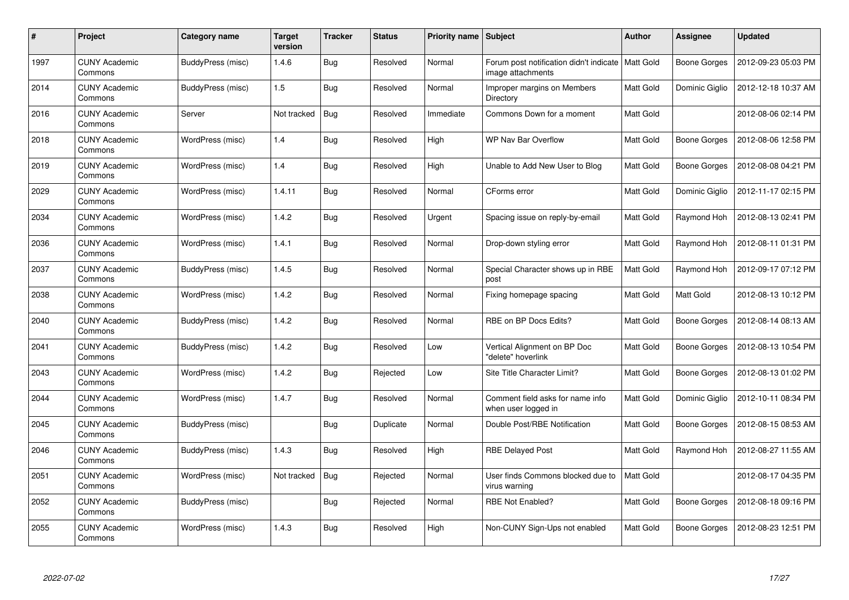| #    | Project                         | Category name     | <b>Target</b><br>version | <b>Tracker</b> | <b>Status</b> | Priority name Subject |                                                              | <b>Author</b>    | Assignee            | <b>Updated</b>      |
|------|---------------------------------|-------------------|--------------------------|----------------|---------------|-----------------------|--------------------------------------------------------------|------------------|---------------------|---------------------|
| 1997 | <b>CUNY Academic</b><br>Commons | BuddyPress (misc) | 1.4.6                    | Bug            | Resolved      | Normal                | Forum post notification didn't indicate<br>image attachments | <b>Matt Gold</b> | Boone Gorges        | 2012-09-23 05:03 PM |
| 2014 | <b>CUNY Academic</b><br>Commons | BuddyPress (misc) | 1.5                      | Bug            | Resolved      | Normal                | Improper margins on Members<br>Directory                     | Matt Gold        | Dominic Giglio      | 2012-12-18 10:37 AM |
| 2016 | <b>CUNY Academic</b><br>Commons | Server            | Not tracked              | <b>Bug</b>     | Resolved      | Immediate             | Commons Down for a moment                                    | Matt Gold        |                     | 2012-08-06 02:14 PM |
| 2018 | <b>CUNY Academic</b><br>Commons | WordPress (misc)  | 1.4                      | Bug            | Resolved      | High                  | WP Nav Bar Overflow                                          | Matt Gold        | Boone Gorges        | 2012-08-06 12:58 PM |
| 2019 | <b>CUNY Academic</b><br>Commons | WordPress (misc)  | 1.4                      | Bug            | Resolved      | High                  | Unable to Add New User to Blog                               | Matt Gold        | Boone Gorges        | 2012-08-08 04:21 PM |
| 2029 | <b>CUNY Academic</b><br>Commons | WordPress (misc)  | 1.4.11                   | <b>Bug</b>     | Resolved      | Normal                | CForms error                                                 | Matt Gold        | Dominic Giglio      | 2012-11-17 02:15 PM |
| 2034 | <b>CUNY Academic</b><br>Commons | WordPress (misc)  | 1.4.2                    | Bug            | Resolved      | Urgent                | Spacing issue on reply-by-email                              | Matt Gold        | Raymond Hoh         | 2012-08-13 02:41 PM |
| 2036 | <b>CUNY Academic</b><br>Commons | WordPress (misc)  | 1.4.1                    | Bug            | Resolved      | Normal                | Drop-down styling error                                      | Matt Gold        | Raymond Hoh         | 2012-08-11 01:31 PM |
| 2037 | <b>CUNY Academic</b><br>Commons | BuddyPress (misc) | 1.4.5                    | Bug            | Resolved      | Normal                | Special Character shows up in RBE<br>post                    | Matt Gold        | Raymond Hoh         | 2012-09-17 07:12 PM |
| 2038 | <b>CUNY Academic</b><br>Commons | WordPress (misc)  | 1.4.2                    | Bug            | Resolved      | Normal                | Fixing homepage spacing                                      | Matt Gold        | Matt Gold           | 2012-08-13 10:12 PM |
| 2040 | <b>CUNY Academic</b><br>Commons | BuddyPress (misc) | 1.4.2                    | Bug            | Resolved      | Normal                | RBE on BP Docs Edits?                                        | Matt Gold        | Boone Gorges        | 2012-08-14 08:13 AM |
| 2041 | <b>CUNY Academic</b><br>Commons | BuddyPress (misc) | 1.4.2                    | Bug            | Resolved      | Low                   | Vertical Alignment on BP Doc<br>'delete" hoverlink           | Matt Gold        | Boone Gorges        | 2012-08-13 10:54 PM |
| 2043 | <b>CUNY Academic</b><br>Commons | WordPress (misc)  | 1.4.2                    | Bug            | Rejected      | Low                   | Site Title Character Limit?                                  | Matt Gold        | Boone Gorges        | 2012-08-13 01:02 PM |
| 2044 | <b>CUNY Academic</b><br>Commons | WordPress (misc)  | 1.4.7                    | Bug            | Resolved      | Normal                | Comment field asks for name info<br>when user logged in      | Matt Gold        | Dominic Giglio      | 2012-10-11 08:34 PM |
| 2045 | <b>CUNY Academic</b><br>Commons | BuddyPress (misc) |                          | <b>Bug</b>     | Duplicate     | Normal                | Double Post/RBE Notification                                 | Matt Gold        | Boone Gorges        | 2012-08-15 08:53 AM |
| 2046 | <b>CUNY Academic</b><br>Commons | BuddyPress (misc) | 1.4.3                    | Bug            | Resolved      | High                  | <b>RBE Delayed Post</b>                                      | Matt Gold        | Raymond Hoh         | 2012-08-27 11:55 AM |
| 2051 | <b>CUNY Academic</b><br>Commons | WordPress (misc)  | Not tracked              | <b>Bug</b>     | Rejected      | Normal                | User finds Commons blocked due to<br>virus warning           | Matt Gold        |                     | 2012-08-17 04:35 PM |
| 2052 | <b>CUNY Academic</b><br>Commons | BuddyPress (misc) |                          | Bug            | Rejected      | Normal                | RBE Not Enabled?                                             | Matt Gold        | <b>Boone Gorges</b> | 2012-08-18 09:16 PM |
| 2055 | <b>CUNY Academic</b><br>Commons | WordPress (misc)  | 1.4.3                    | Bug            | Resolved      | High                  | Non-CUNY Sign-Ups not enabled                                | Matt Gold        | Boone Gorges        | 2012-08-23 12:51 PM |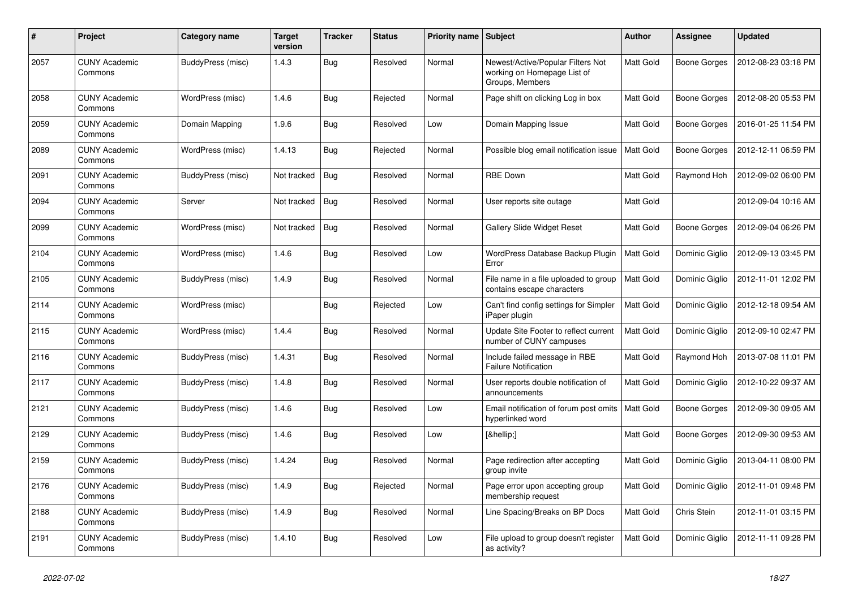| #    | Project                         | Category name     | <b>Target</b><br>version | <b>Tracker</b> | <b>Status</b> | Priority name Subject |                                                                                     | <b>Author</b>    | <b>Assignee</b> | <b>Updated</b>      |
|------|---------------------------------|-------------------|--------------------------|----------------|---------------|-----------------------|-------------------------------------------------------------------------------------|------------------|-----------------|---------------------|
| 2057 | <b>CUNY Academic</b><br>Commons | BuddyPress (misc) | 1.4.3                    | <b>Bug</b>     | Resolved      | Normal                | Newest/Active/Popular Filters Not<br>working on Homepage List of<br>Groups, Members | Matt Gold        | Boone Gorges    | 2012-08-23 03:18 PM |
| 2058 | <b>CUNY Academic</b><br>Commons | WordPress (misc)  | 1.4.6                    | Bug            | Rejected      | Normal                | Page shift on clicking Log in box                                                   | Matt Gold        | Boone Gorges    | 2012-08-20 05:53 PM |
| 2059 | <b>CUNY Academic</b><br>Commons | Domain Mapping    | 1.9.6                    | <b>Bug</b>     | Resolved      | Low                   | Domain Mapping Issue                                                                | Matt Gold        | Boone Gorges    | 2016-01-25 11:54 PM |
| 2089 | <b>CUNY Academic</b><br>Commons | WordPress (misc)  | 1.4.13                   | Bug            | Rejected      | Normal                | Possible blog email notification issue                                              | <b>Matt Gold</b> | Boone Gorges    | 2012-12-11 06:59 PM |
| 2091 | <b>CUNY Academic</b><br>Commons | BuddyPress (misc) | Not tracked              | Bug            | Resolved      | Normal                | <b>RBE Down</b>                                                                     | Matt Gold        | Raymond Hoh     | 2012-09-02 06:00 PM |
| 2094 | <b>CUNY Academic</b><br>Commons | Server            | Not tracked              | <b>Bug</b>     | Resolved      | Normal                | User reports site outage                                                            | Matt Gold        |                 | 2012-09-04 10:16 AM |
| 2099 | <b>CUNY Academic</b><br>Commons | WordPress (misc)  | Not tracked              | Bug            | Resolved      | Normal                | <b>Gallery Slide Widget Reset</b>                                                   | Matt Gold        | Boone Gorges    | 2012-09-04 06:26 PM |
| 2104 | <b>CUNY Academic</b><br>Commons | WordPress (misc)  | 1.4.6                    | <b>Bug</b>     | Resolved      | Low                   | WordPress Database Backup Plugin<br>Error                                           | Matt Gold        | Dominic Giglio  | 2012-09-13 03:45 PM |
| 2105 | <b>CUNY Academic</b><br>Commons | BuddyPress (misc) | 1.4.9                    | Bug            | Resolved      | Normal                | File name in a file uploaded to group<br>contains escape characters                 | Matt Gold        | Dominic Giglio  | 2012-11-01 12:02 PM |
| 2114 | <b>CUNY Academic</b><br>Commons | WordPress (misc)  |                          | Bug            | Rejected      | Low                   | Can't find config settings for Simpler<br>iPaper plugin                             | Matt Gold        | Dominic Giglio  | 2012-12-18 09:54 AM |
| 2115 | <b>CUNY Academic</b><br>Commons | WordPress (misc)  | 1.4.4                    | <b>Bug</b>     | Resolved      | Normal                | Update Site Footer to reflect current<br>number of CUNY campuses                    | Matt Gold        | Dominic Giglio  | 2012-09-10 02:47 PM |
| 2116 | <b>CUNY Academic</b><br>Commons | BuddyPress (misc) | 1.4.31                   | Bug            | Resolved      | Normal                | Include failed message in RBE<br><b>Failure Notification</b>                        | Matt Gold        | Raymond Hoh     | 2013-07-08 11:01 PM |
| 2117 | <b>CUNY Academic</b><br>Commons | BuddyPress (misc) | 1.4.8                    | <b>Bug</b>     | Resolved      | Normal                | User reports double notification of<br>announcements                                | Matt Gold        | Dominic Giglio  | 2012-10-22 09:37 AM |
| 2121 | <b>CUNY Academic</b><br>Commons | BuddyPress (misc) | 1.4.6                    | <b>Bug</b>     | Resolved      | Low                   | Email notification of forum post omits<br>hyperlinked word                          | Matt Gold        | Boone Gorges    | 2012-09-30 09:05 AM |
| 2129 | <b>CUNY Academic</b><br>Commons | BuddyPress (misc) | 1.4.6                    | <b>Bug</b>     | Resolved      | Low                   | […]                                                                                 | Matt Gold        | Boone Gorges    | 2012-09-30 09:53 AM |
| 2159 | <b>CUNY Academic</b><br>Commons | BuddyPress (misc) | 1.4.24                   | <b>Bug</b>     | Resolved      | Normal                | Page redirection after accepting<br>group invite                                    | Matt Gold        | Dominic Giglio  | 2013-04-11 08:00 PM |
| 2176 | <b>CUNY Academic</b><br>Commons | BuddyPress (misc) | 1.4.9                    | Bug            | Rejected      | Normal                | Page error upon accepting group<br>membership request                               | Matt Gold        | Dominic Giglio  | 2012-11-01 09:48 PM |
| 2188 | <b>CUNY Academic</b><br>Commons | BuddyPress (misc) | 1.4.9                    | <b>Bug</b>     | Resolved      | Normal                | Line Spacing/Breaks on BP Docs                                                      | Matt Gold        | Chris Stein     | 2012-11-01 03:15 PM |
| 2191 | <b>CUNY Academic</b><br>Commons | BuddyPress (misc) | 1.4.10                   | Bug            | Resolved      | Low                   | File upload to group doesn't register<br>as activity?                               | Matt Gold        | Dominic Giglio  | 2012-11-11 09:28 PM |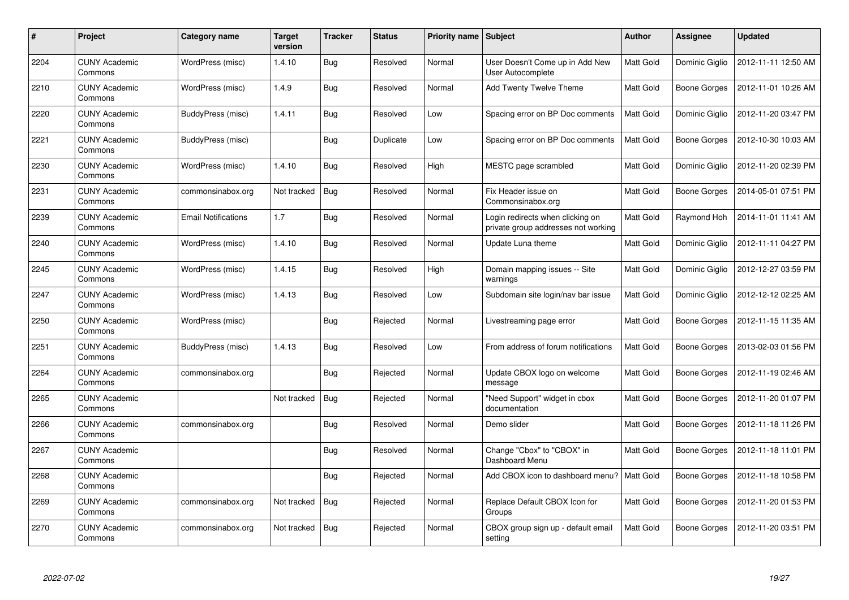| #    | Project                         | Category name              | <b>Target</b><br>version | <b>Tracker</b> | <b>Status</b> | Priority name Subject |                                                                         | <b>Author</b>    | Assignee            | <b>Updated</b>      |
|------|---------------------------------|----------------------------|--------------------------|----------------|---------------|-----------------------|-------------------------------------------------------------------------|------------------|---------------------|---------------------|
| 2204 | <b>CUNY Academic</b><br>Commons | WordPress (misc)           | 1.4.10                   | Bug            | Resolved      | Normal                | User Doesn't Come up in Add New<br>User Autocomplete                    | <b>Matt Gold</b> | Dominic Giglio      | 2012-11-11 12:50 AM |
| 2210 | <b>CUNY Academic</b><br>Commons | WordPress (misc)           | 1.4.9                    | <b>Bug</b>     | Resolved      | Normal                | Add Twenty Twelve Theme                                                 | Matt Gold        | Boone Gorges        | 2012-11-01 10:26 AM |
| 2220 | <b>CUNY Academic</b><br>Commons | BuddyPress (misc)          | 1.4.11                   | Bug            | Resolved      | Low                   | Spacing error on BP Doc comments                                        | Matt Gold        | Dominic Giglio      | 2012-11-20 03:47 PM |
| 2221 | <b>CUNY Academic</b><br>Commons | BuddyPress (misc)          |                          | Bug            | Duplicate     | Low                   | Spacing error on BP Doc comments                                        | Matt Gold        | Boone Gorges        | 2012-10-30 10:03 AM |
| 2230 | <b>CUNY Academic</b><br>Commons | WordPress (misc)           | 1.4.10                   | Bug            | Resolved      | High                  | MESTC page scrambled                                                    | Matt Gold        | Dominic Giglio      | 2012-11-20 02:39 PM |
| 2231 | <b>CUNY Academic</b><br>Commons | commonsinabox.org          | Not tracked              | Bug            | Resolved      | Normal                | Fix Header issue on<br>Commonsinabox.org                                | Matt Gold        | Boone Gorges        | 2014-05-01 07:51 PM |
| 2239 | <b>CUNY Academic</b><br>Commons | <b>Email Notifications</b> | 1.7                      | Bug            | Resolved      | Normal                | Login redirects when clicking on<br>private group addresses not working | Matt Gold        | Raymond Hoh         | 2014-11-01 11:41 AM |
| 2240 | <b>CUNY Academic</b><br>Commons | WordPress (misc)           | 1.4.10                   | Bug            | Resolved      | Normal                | Update Luna theme                                                       | Matt Gold        | Dominic Giglio      | 2012-11-11 04:27 PM |
| 2245 | <b>CUNY Academic</b><br>Commons | WordPress (misc)           | 1.4.15                   | Bug            | Resolved      | High                  | Domain mapping issues -- Site<br>warnings                               | Matt Gold        | Dominic Giglio      | 2012-12-27 03:59 PM |
| 2247 | <b>CUNY Academic</b><br>Commons | WordPress (misc)           | 1.4.13                   | Bug            | Resolved      | Low                   | Subdomain site login/nav bar issue                                      | Matt Gold        | Dominic Giglio      | 2012-12-12 02:25 AM |
| 2250 | <b>CUNY Academic</b><br>Commons | WordPress (misc)           |                          | Bug            | Rejected      | Normal                | Livestreaming page error                                                | Matt Gold        | Boone Gorges        | 2012-11-15 11:35 AM |
| 2251 | <b>CUNY Academic</b><br>Commons | BuddyPress (misc)          | 1.4.13                   | Bug            | Resolved      | Low                   | From address of forum notifications                                     | Matt Gold        | Boone Gorges        | 2013-02-03 01:56 PM |
| 2264 | <b>CUNY Academic</b><br>Commons | commonsinabox.org          |                          | Bug            | Rejected      | Normal                | Update CBOX logo on welcome<br>message                                  | Matt Gold        | Boone Gorges        | 2012-11-19 02:46 AM |
| 2265 | <b>CUNY Academic</b><br>Commons |                            | Not tracked              | Bug            | Rejected      | Normal                | 'Need Support" widget in cbox<br>documentation                          | Matt Gold        | Boone Gorges        | 2012-11-20 01:07 PM |
| 2266 | <b>CUNY Academic</b><br>Commons | commonsinabox.org          |                          | <b>Bug</b>     | Resolved      | Normal                | Demo slider                                                             | Matt Gold        | Boone Gorges        | 2012-11-18 11:26 PM |
| 2267 | <b>CUNY Academic</b><br>Commons |                            |                          | Bug            | Resolved      | Normal                | Change "Cbox" to "CBOX" in<br>Dashboard Menu                            | Matt Gold        | <b>Boone Gorges</b> | 2012-11-18 11:01 PM |
| 2268 | <b>CUNY Academic</b><br>Commons |                            |                          | Bug            | Rejected      | Normal                | Add CBOX icon to dashboard menu?   Matt Gold                            |                  | Boone Gorges        | 2012-11-18 10:58 PM |
| 2269 | <b>CUNY Academic</b><br>Commons | commonsinabox.org          | Not tracked              | <b>Bug</b>     | Rejected      | Normal                | Replace Default CBOX Icon for<br>Groups                                 | Matt Gold        | <b>Boone Gorges</b> | 2012-11-20 01:53 PM |
| 2270 | <b>CUNY Academic</b><br>Commons | commonsinabox.org          | Not tracked              | <b>Bug</b>     | Rejected      | Normal                | CBOX group sign up - default email<br>setting                           | Matt Gold        | Boone Gorges        | 2012-11-20 03:51 PM |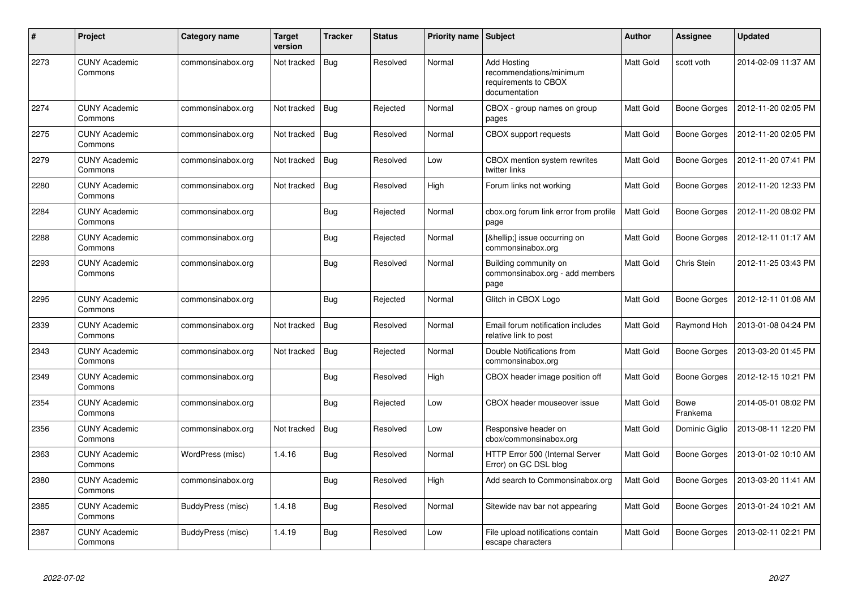| #    | <b>Project</b>                  | Category name     | <b>Target</b><br>version | <b>Tracker</b> | <b>Status</b> | <b>Priority name   Subject</b> |                                                                                 | Author    | <b>Assignee</b>         | <b>Updated</b>      |
|------|---------------------------------|-------------------|--------------------------|----------------|---------------|--------------------------------|---------------------------------------------------------------------------------|-----------|-------------------------|---------------------|
| 2273 | <b>CUNY Academic</b><br>Commons | commonsinabox.org | Not tracked              | <b>Bug</b>     | Resolved      | Normal                         | Add Hosting<br>recommendations/minimum<br>requirements to CBOX<br>documentation | Matt Gold | scott voth              | 2014-02-09 11:37 AM |
| 2274 | <b>CUNY Academic</b><br>Commons | commonsinabox.org | Not tracked              | Bug            | Rejected      | Normal                         | CBOX - group names on group<br>pages                                            | Matt Gold | Boone Gorges            | 2012-11-20 02:05 PM |
| 2275 | <b>CUNY Academic</b><br>Commons | commonsinabox.org | Not tracked              | Bug            | Resolved      | Normal                         | <b>CBOX</b> support requests                                                    | Matt Gold | Boone Gorges            | 2012-11-20 02:05 PM |
| 2279 | <b>CUNY Academic</b><br>Commons | commonsinabox.org | Not tracked              | Bug            | Resolved      | Low                            | CBOX mention system rewrites<br>twitter links                                   | Matt Gold | Boone Gorges            | 2012-11-20 07:41 PM |
| 2280 | <b>CUNY Academic</b><br>Commons | commonsinabox.org | Not tracked              | <b>Bug</b>     | Resolved      | High                           | Forum links not working                                                         | Matt Gold | Boone Gorges            | 2012-11-20 12:33 PM |
| 2284 | <b>CUNY Academic</b><br>Commons | commonsinabox.org |                          | Bug            | Rejected      | Normal                         | cbox.org forum link error from profile<br>page                                  | Matt Gold | Boone Gorges            | 2012-11-20 08:02 PM |
| 2288 | <b>CUNY Academic</b><br>Commons | commonsinabox.org |                          | <b>Bug</b>     | Rejected      | Normal                         | […] issue occurring on<br>commonsinabox.org                                     | Matt Gold | Boone Gorges            | 2012-12-11 01:17 AM |
| 2293 | <b>CUNY Academic</b><br>Commons | commonsinabox.org |                          | <b>Bug</b>     | Resolved      | Normal                         | Building community on<br>commonsinabox.org - add members<br>page                | Matt Gold | Chris Stein             | 2012-11-25 03:43 PM |
| 2295 | <b>CUNY Academic</b><br>Commons | commonsinabox.org |                          | Bug            | Rejected      | Normal                         | Glitch in CBOX Logo                                                             | Matt Gold | Boone Gorges            | 2012-12-11 01:08 AM |
| 2339 | <b>CUNY Academic</b><br>Commons | commonsinabox.org | Not tracked              | Bug            | Resolved      | Normal                         | Email forum notification includes<br>relative link to post                      | Matt Gold | Raymond Hoh             | 2013-01-08 04:24 PM |
| 2343 | <b>CUNY Academic</b><br>Commons | commonsinabox.org | Not tracked              | Bug            | Rejected      | Normal                         | Double Notifications from<br>commonsinabox.org                                  | Matt Gold | Boone Gorges            | 2013-03-20 01:45 PM |
| 2349 | <b>CUNY Academic</b><br>Commons | commonsinabox.org |                          | Bug            | Resolved      | High                           | CBOX header image position off                                                  | Matt Gold | <b>Boone Gorges</b>     | 2012-12-15 10:21 PM |
| 2354 | <b>CUNY Academic</b><br>Commons | commonsinabox.org |                          | Bug            | Rejected      | Low                            | CBOX header mouseover issue                                                     | Matt Gold | <b>Bowe</b><br>Frankema | 2014-05-01 08:02 PM |
| 2356 | <b>CUNY Academic</b><br>Commons | commonsinabox.org | Not tracked              | Bug            | Resolved      | Low                            | Responsive header on<br>cbox/commonsinabox.org                                  | Matt Gold | Dominic Giglio          | 2013-08-11 12:20 PM |
| 2363 | <b>CUNY Academic</b><br>Commons | WordPress (misc)  | 1.4.16                   | Bug            | Resolved      | Normal                         | HTTP Error 500 (Internal Server<br>Error) on GC DSL blog                        | Matt Gold | <b>Boone Gorges</b>     | 2013-01-02 10:10 AM |
| 2380 | <b>CUNY Academic</b><br>Commons | commonsinabox.org |                          | Bug            | Resolved      | High                           | Add search to Commonsinabox.org                                                 | Matt Gold | Boone Gorges            | 2013-03-20 11:41 AM |
| 2385 | <b>CUNY Academic</b><br>Commons | BuddyPress (misc) | 1.4.18                   | Bug            | Resolved      | Normal                         | Sitewide nav bar not appearing                                                  | Matt Gold | Boone Gorges            | 2013-01-24 10:21 AM |
| 2387 | <b>CUNY Academic</b><br>Commons | BuddyPress (misc) | 1.4.19                   | <b>Bug</b>     | Resolved      | Low                            | File upload notifications contain<br>escape characters                          | Matt Gold | Boone Gorges            | 2013-02-11 02:21 PM |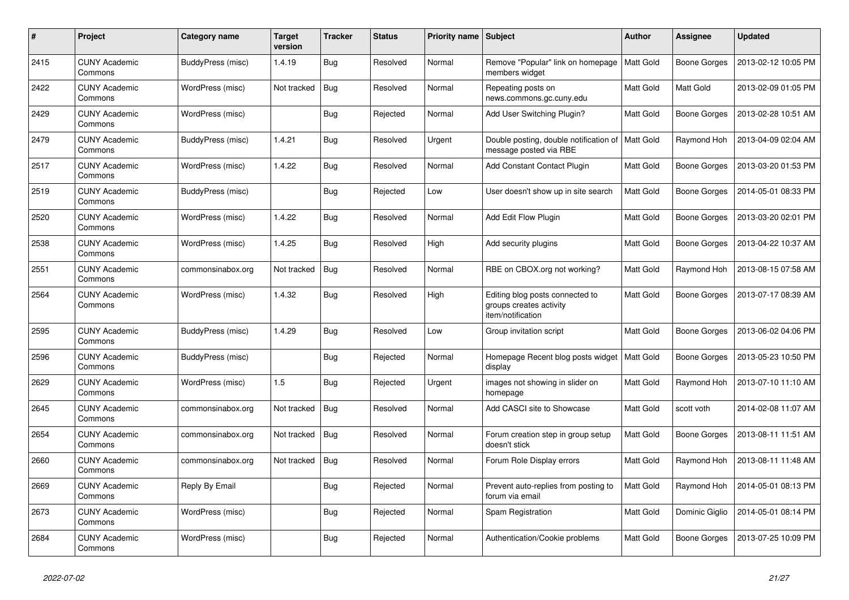| $\#$ | <b>Project</b>                  | Category name     | <b>Target</b><br>version | <b>Tracker</b> | <b>Status</b> | <b>Priority name Subject</b> |                                                                                 | <b>Author</b> | Assignee            | <b>Updated</b>      |
|------|---------------------------------|-------------------|--------------------------|----------------|---------------|------------------------------|---------------------------------------------------------------------------------|---------------|---------------------|---------------------|
| 2415 | <b>CUNY Academic</b><br>Commons | BuddyPress (misc) | 1.4.19                   | Bug            | Resolved      | Normal                       | Remove "Popular" link on homepage<br>members widget                             | Matt Gold     | Boone Gorges        | 2013-02-12 10:05 PM |
| 2422 | <b>CUNY Academic</b><br>Commons | WordPress (misc)  | Not tracked              | <b>Bug</b>     | Resolved      | Normal                       | Repeating posts on<br>news.commons.gc.cuny.edu                                  | Matt Gold     | Matt Gold           | 2013-02-09 01:05 PM |
| 2429 | <b>CUNY Academic</b><br>Commons | WordPress (misc)  |                          | <b>Bug</b>     | Rejected      | Normal                       | Add User Switching Plugin?                                                      | Matt Gold     | Boone Gorges        | 2013-02-28 10:51 AM |
| 2479 | <b>CUNY Academic</b><br>Commons | BuddyPress (misc) | 1.4.21                   | Bug            | Resolved      | Urgent                       | Double posting, double notification of   Matt Gold<br>message posted via RBE    |               | Raymond Hoh         | 2013-04-09 02:04 AM |
| 2517 | <b>CUNY Academic</b><br>Commons | WordPress (misc)  | 1.4.22                   | Bug            | Resolved      | Normal                       | Add Constant Contact Plugin                                                     | Matt Gold     | Boone Gorges        | 2013-03-20 01:53 PM |
| 2519 | <b>CUNY Academic</b><br>Commons | BuddyPress (misc) |                          | <b>Bug</b>     | Rejected      | Low                          | User doesn't show up in site search                                             | Matt Gold     | Boone Gorges        | 2014-05-01 08:33 PM |
| 2520 | <b>CUNY Academic</b><br>Commons | WordPress (misc)  | 1.4.22                   | Bug            | Resolved      | Normal                       | Add Edit Flow Plugin                                                            | Matt Gold     | Boone Gorges        | 2013-03-20 02:01 PM |
| 2538 | <b>CUNY Academic</b><br>Commons | WordPress (misc)  | 1.4.25                   | Bug            | Resolved      | High                         | Add security plugins                                                            | Matt Gold     | Boone Gorges        | 2013-04-22 10:37 AM |
| 2551 | <b>CUNY Academic</b><br>Commons | commonsinabox.org | Not tracked              | <b>Bug</b>     | Resolved      | Normal                       | RBE on CBOX.org not working?                                                    | Matt Gold     | Raymond Hoh         | 2013-08-15 07:58 AM |
| 2564 | <b>CUNY Academic</b><br>Commons | WordPress (misc)  | 1.4.32                   | Bug            | Resolved      | High                         | Editing blog posts connected to<br>groups creates activity<br>item/notification | Matt Gold     | Boone Gorges        | 2013-07-17 08:39 AM |
| 2595 | <b>CUNY Academic</b><br>Commons | BuddyPress (misc) | 1.4.29                   | Bug            | Resolved      | Low                          | Group invitation script                                                         | Matt Gold     | <b>Boone Gorges</b> | 2013-06-02 04:06 PM |
| 2596 | <b>CUNY Academic</b><br>Commons | BuddyPress (misc) |                          | <b>Bug</b>     | Rejected      | Normal                       | Homepage Recent blog posts widget<br>display                                    | Matt Gold     | Boone Gorges        | 2013-05-23 10:50 PM |
| 2629 | <b>CUNY Academic</b><br>Commons | WordPress (misc)  | 1.5                      | <b>Bug</b>     | Rejected      | Urgent                       | images not showing in slider on<br>homepage                                     | Matt Gold     | Raymond Hoh         | 2013-07-10 11:10 AM |
| 2645 | <b>CUNY Academic</b><br>Commons | commonsinabox.org | Not tracked              | <b>Bug</b>     | Resolved      | Normal                       | Add CASCI site to Showcase                                                      | Matt Gold     | scott voth          | 2014-02-08 11:07 AM |
| 2654 | <b>CUNY Academic</b><br>Commons | commonsinabox.org | Not tracked              | <b>Bug</b>     | Resolved      | Normal                       | Forum creation step in group setup<br>doesn't stick                             | Matt Gold     | <b>Boone Gorges</b> | 2013-08-11 11:51 AM |
| 2660 | <b>CUNY Academic</b><br>Commons | commonsinabox.org | Not tracked              | <b>Bug</b>     | Resolved      | Normal                       | Forum Role Display errors                                                       | Matt Gold     | Raymond Hoh         | 2013-08-11 11:48 AM |
| 2669 | <b>CUNY Academic</b><br>Commons | Reply By Email    |                          | <b>Bug</b>     | Rejected      | Normal                       | Prevent auto-replies from posting to<br>forum via email                         | Matt Gold     | Raymond Hoh         | 2014-05-01 08:13 PM |
| 2673 | <b>CUNY Academic</b><br>Commons | WordPress (misc)  |                          | Bug            | Rejected      | Normal                       | Spam Registration                                                               | Matt Gold     | Dominic Giglio      | 2014-05-01 08:14 PM |
| 2684 | <b>CUNY Academic</b><br>Commons | WordPress (misc)  |                          | <b>Bug</b>     | Rejected      | Normal                       | Authentication/Cookie problems                                                  | Matt Gold     | Boone Gorges        | 2013-07-25 10:09 PM |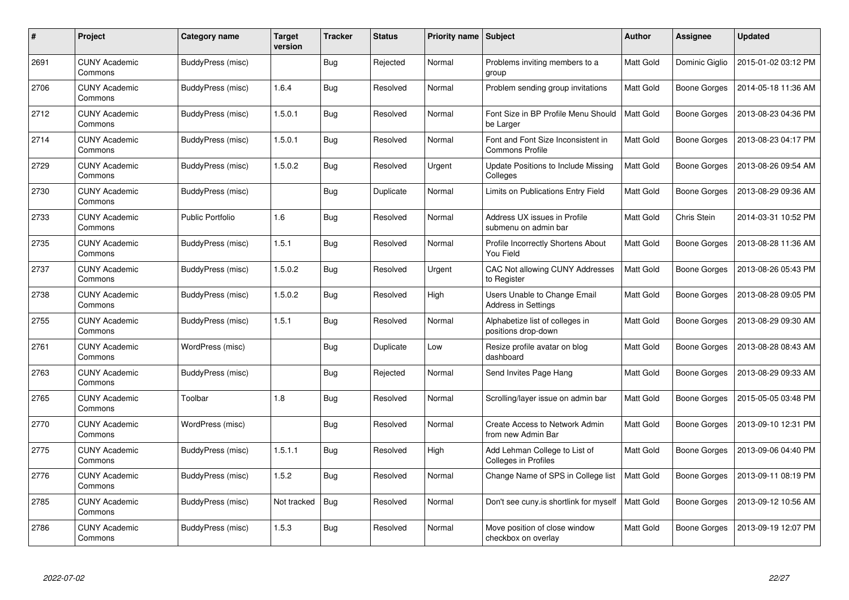| #    | Project                         | Category name            | <b>Target</b><br>version | <b>Tracker</b> | <b>Status</b> | Priority name Subject |                                                              | <b>Author</b>    | Assignee            | <b>Updated</b>      |
|------|---------------------------------|--------------------------|--------------------------|----------------|---------------|-----------------------|--------------------------------------------------------------|------------------|---------------------|---------------------|
| 2691 | <b>CUNY Academic</b><br>Commons | BuddyPress (misc)        |                          | Bug            | Rejected      | Normal                | Problems inviting members to a<br>group                      | <b>Matt Gold</b> | Dominic Giglio      | 2015-01-02 03:12 PM |
| 2706 | <b>CUNY Academic</b><br>Commons | BuddyPress (misc)        | 1.6.4                    | Bug            | Resolved      | Normal                | Problem sending group invitations                            | Matt Gold        | Boone Gorges        | 2014-05-18 11:36 AM |
| 2712 | <b>CUNY Academic</b><br>Commons | BuddyPress (misc)        | 1.5.0.1                  | Bug            | Resolved      | Normal                | Font Size in BP Profile Menu Should<br>be Larger             | Matt Gold        | <b>Boone Gorges</b> | 2013-08-23 04:36 PM |
| 2714 | <b>CUNY Academic</b><br>Commons | BuddyPress (misc)        | 1.5.0.1                  | Bug            | Resolved      | Normal                | Font and Font Size Inconsistent in<br><b>Commons Profile</b> | Matt Gold        | Boone Gorges        | 2013-08-23 04:17 PM |
| 2729 | <b>CUNY Academic</b><br>Commons | <b>BuddyPress (misc)</b> | 1.5.0.2                  | Bug            | Resolved      | Urgent                | Update Positions to Include Missing<br>Colleges              | Matt Gold        | <b>Boone Gorges</b> | 2013-08-26 09:54 AM |
| 2730 | <b>CUNY Academic</b><br>Commons | BuddyPress (misc)        |                          | Bug            | Duplicate     | Normal                | Limits on Publications Entry Field                           | Matt Gold        | Boone Gorges        | 2013-08-29 09:36 AM |
| 2733 | <b>CUNY Academic</b><br>Commons | <b>Public Portfolio</b>  | 1.6                      | Bug            | Resolved      | Normal                | Address UX issues in Profile<br>submenu on admin bar         | Matt Gold        | Chris Stein         | 2014-03-31 10:52 PM |
| 2735 | <b>CUNY Academic</b><br>Commons | BuddyPress (misc)        | 1.5.1                    | Bug            | Resolved      | Normal                | Profile Incorrectly Shortens About<br>You Field              | Matt Gold        | Boone Gorges        | 2013-08-28 11:36 AM |
| 2737 | <b>CUNY Academic</b><br>Commons | BuddyPress (misc)        | 1.5.0.2                  | Bug            | Resolved      | Urgent                | CAC Not allowing CUNY Addresses<br>to Register               | <b>Matt Gold</b> | Boone Gorges        | 2013-08-26 05:43 PM |
| 2738 | <b>CUNY Academic</b><br>Commons | BuddyPress (misc)        | 1.5.0.2                  | Bug            | Resolved      | High                  | Users Unable to Change Email<br><b>Address in Settings</b>   | Matt Gold        | Boone Gorges        | 2013-08-28 09:05 PM |
| 2755 | <b>CUNY Academic</b><br>Commons | BuddyPress (misc)        | 1.5.1                    | Bug            | Resolved      | Normal                | Alphabetize list of colleges in<br>positions drop-down       | Matt Gold        | <b>Boone Gorges</b> | 2013-08-29 09:30 AM |
| 2761 | <b>CUNY Academic</b><br>Commons | WordPress (misc)         |                          | <b>Bug</b>     | Duplicate     | Low                   | Resize profile avatar on blog<br>dashboard                   | Matt Gold        | <b>Boone Gorges</b> | 2013-08-28 08:43 AM |
| 2763 | <b>CUNY Academic</b><br>Commons | BuddyPress (misc)        |                          | <b>Bug</b>     | Rejected      | Normal                | Send Invites Page Hang                                       | Matt Gold        | <b>Boone Gorges</b> | 2013-08-29 09:33 AM |
| 2765 | <b>CUNY Academic</b><br>Commons | Toolbar                  | 1.8                      | Bug            | Resolved      | Normal                | Scrolling/layer issue on admin bar                           | Matt Gold        | Boone Gorges        | 2015-05-05 03:48 PM |
| 2770 | <b>CUNY Academic</b><br>Commons | WordPress (misc)         |                          | Bug            | Resolved      | Normal                | Create Access to Network Admin<br>from new Admin Bar         | Matt Gold        | <b>Boone Gorges</b> | 2013-09-10 12:31 PM |
| 2775 | <b>CUNY Academic</b><br>Commons | <b>BuddyPress (misc)</b> | 1.5.1.1                  | Bug            | Resolved      | High                  | Add Lehman College to List of<br><b>Colleges in Profiles</b> | Matt Gold        | <b>Boone Gorges</b> | 2013-09-06 04:40 PM |
| 2776 | <b>CUNY Academic</b><br>Commons | BuddyPress (misc)        | 1.5.2                    | Bug            | Resolved      | Normal                | Change Name of SPS in College list                           | <b>Matt Gold</b> | <b>Boone Gorges</b> | 2013-09-11 08:19 PM |
| 2785 | <b>CUNY Academic</b><br>Commons | BuddyPress (misc)        | Not tracked              | Bug            | Resolved      | Normal                | Don't see cuny.is shortlink for myself                       | Matt Gold        | Boone Gorges        | 2013-09-12 10:56 AM |
| 2786 | <b>CUNY Academic</b><br>Commons | BuddyPress (misc)        | 1.5.3                    | <b>Bug</b>     | Resolved      | Normal                | Move position of close window<br>checkbox on overlay         | Matt Gold        | Boone Gorges        | 2013-09-19 12:07 PM |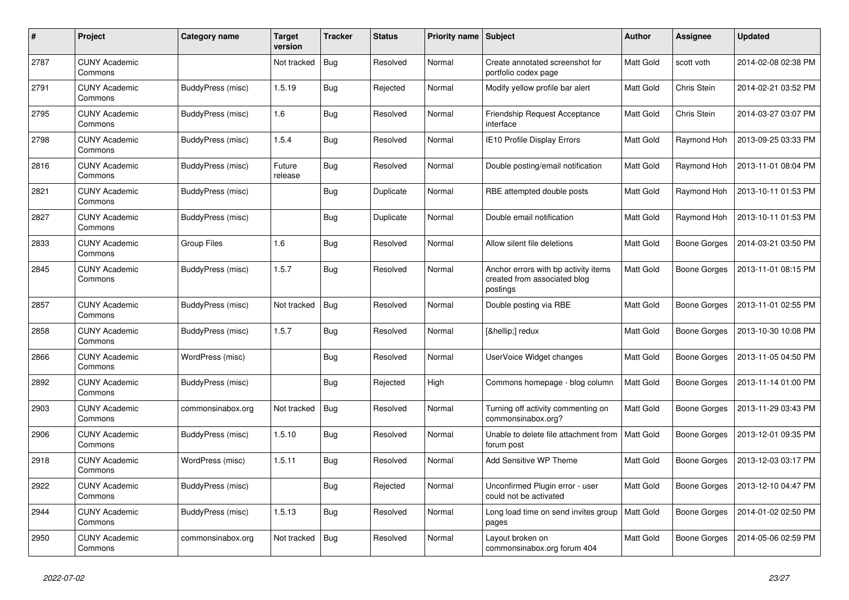| #    | Project                         | Category name     | <b>Target</b><br>version | <b>Tracker</b> | <b>Status</b> | Priority name Subject |                                                                                  | <b>Author</b> | Assignee            | <b>Updated</b>      |
|------|---------------------------------|-------------------|--------------------------|----------------|---------------|-----------------------|----------------------------------------------------------------------------------|---------------|---------------------|---------------------|
| 2787 | <b>CUNY Academic</b><br>Commons |                   | Not tracked              | <b>Bug</b>     | Resolved      | Normal                | Create annotated screenshot for<br>portfolio codex page                          | Matt Gold     | scott voth          | 2014-02-08 02:38 PM |
| 2791 | <b>CUNY Academic</b><br>Commons | BuddyPress (misc) | 1.5.19                   | Bug            | Rejected      | Normal                | Modify yellow profile bar alert                                                  | Matt Gold     | Chris Stein         | 2014-02-21 03:52 PM |
| 2795 | <b>CUNY Academic</b><br>Commons | BuddyPress (misc) | 1.6                      | Bug            | Resolved      | Normal                | <b>Friendship Request Acceptance</b><br>interface                                | Matt Gold     | Chris Stein         | 2014-03-27 03:07 PM |
| 2798 | <b>CUNY Academic</b><br>Commons | BuddyPress (misc) | 1.5.4                    | Bug            | Resolved      | Normal                | IE10 Profile Display Errors                                                      | Matt Gold     | Raymond Hoh         | 2013-09-25 03:33 PM |
| 2816 | <b>CUNY Academic</b><br>Commons | BuddyPress (misc) | Future<br>release        | <b>Bug</b>     | Resolved      | Normal                | Double posting/email notification                                                | Matt Gold     | Raymond Hoh         | 2013-11-01 08:04 PM |
| 2821 | <b>CUNY Academic</b><br>Commons | BuddyPress (misc) |                          | Bug            | Duplicate     | Normal                | RBE attempted double posts                                                       | Matt Gold     | Raymond Hoh         | 2013-10-11 01:53 PM |
| 2827 | <b>CUNY Academic</b><br>Commons | BuddyPress (misc) |                          | <b>Bug</b>     | Duplicate     | Normal                | Double email notification                                                        | Matt Gold     | Raymond Hoh         | 2013-10-11 01:53 PM |
| 2833 | <b>CUNY Academic</b><br>Commons | Group Files       | 1.6                      | Bug            | Resolved      | Normal                | Allow silent file deletions                                                      | Matt Gold     | Boone Gorges        | 2014-03-21 03:50 PM |
| 2845 | <b>CUNY Academic</b><br>Commons | BuddyPress (misc) | 1.5.7                    | Bug            | Resolved      | Normal                | Anchor errors with bp activity items<br>created from associated blog<br>postings | Matt Gold     | <b>Boone Gorges</b> | 2013-11-01 08:15 PM |
| 2857 | <b>CUNY Academic</b><br>Commons | BuddyPress (misc) | Not tracked              | <b>Bug</b>     | Resolved      | Normal                | Double posting via RBE                                                           | Matt Gold     | Boone Gorges        | 2013-11-01 02:55 PM |
| 2858 | <b>CUNY Academic</b><br>Commons | BuddyPress (misc) | 1.5.7                    | Bug            | Resolved      | Normal                | […] redux                                                                        | Matt Gold     | Boone Gorges        | 2013-10-30 10:08 PM |
| 2866 | <b>CUNY Academic</b><br>Commons | WordPress (misc)  |                          | Bug            | Resolved      | Normal                | UserVoice Widget changes                                                         | Matt Gold     | Boone Gorges        | 2013-11-05 04:50 PM |
| 2892 | <b>CUNY Academic</b><br>Commons | BuddyPress (misc) |                          | Bug            | Rejected      | High                  | Commons homepage - blog column                                                   | Matt Gold     | Boone Gorges        | 2013-11-14 01:00 PM |
| 2903 | <b>CUNY Academic</b><br>Commons | commonsinabox.org | Not tracked              | <b>Bug</b>     | Resolved      | Normal                | Turning off activity commenting on<br>commonsinabox.org?                         | Matt Gold     | Boone Gorges        | 2013-11-29 03:43 PM |
| 2906 | <b>CUNY Academic</b><br>Commons | BuddyPress (misc) | 1.5.10                   | Bug            | Resolved      | Normal                | Unable to delete file attachment from<br>forum post                              | Matt Gold     | <b>Boone Gorges</b> | 2013-12-01 09:35 PM |
| 2918 | <b>CUNY Academic</b><br>Commons | WordPress (misc)  | 1.5.11                   | Bug            | Resolved      | Normal                | Add Sensitive WP Theme                                                           | Matt Gold     | Boone Gorges        | 2013-12-03 03:17 PM |
| 2922 | <b>CUNY Academic</b><br>Commons | BuddyPress (misc) |                          | Bug            | Rejected      | Normal                | Unconfirmed Plugin error - user<br>could not be activated                        | Matt Gold     | <b>Boone Gorges</b> | 2013-12-10 04:47 PM |
| 2944 | <b>CUNY Academic</b><br>Commons | BuddyPress (misc) | 1.5.13                   | Bug            | Resolved      | Normal                | Long load time on send invites group<br>pages                                    | Matt Gold     | Boone Gorges        | 2014-01-02 02:50 PM |
| 2950 | <b>CUNY Academic</b><br>Commons | commonsinabox.org | Not tracked              | Bug            | Resolved      | Normal                | Layout broken on<br>commonsinabox.org forum 404                                  | Matt Gold     | Boone Gorges        | 2014-05-06 02:59 PM |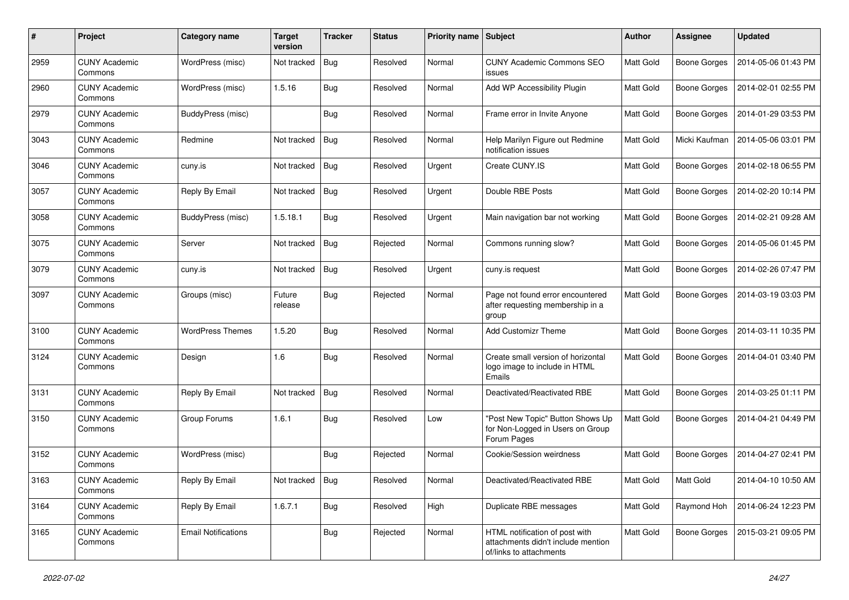| #    | Project                         | <b>Category name</b>       | <b>Target</b><br>version | <b>Tracker</b> | <b>Status</b> | Priority name Subject |                                                                                                 | Author           | <b>Assignee</b>     | <b>Updated</b>      |
|------|---------------------------------|----------------------------|--------------------------|----------------|---------------|-----------------------|-------------------------------------------------------------------------------------------------|------------------|---------------------|---------------------|
| 2959 | <b>CUNY Academic</b><br>Commons | WordPress (misc)           | Not tracked              | <b>Bug</b>     | Resolved      | Normal                | <b>CUNY Academic Commons SEO</b><br>issues                                                      | <b>Matt Gold</b> | <b>Boone Gorges</b> | 2014-05-06 01:43 PM |
| 2960 | <b>CUNY Academic</b><br>Commons | WordPress (misc)           | 1.5.16                   | Bug            | Resolved      | Normal                | Add WP Accessibility Plugin                                                                     | Matt Gold        | <b>Boone Gorges</b> | 2014-02-01 02:55 PM |
| 2979 | <b>CUNY Academic</b><br>Commons | BuddyPress (misc)          |                          | <b>Bug</b>     | Resolved      | Normal                | Frame error in Invite Anyone                                                                    | Matt Gold        | <b>Boone Gorges</b> | 2014-01-29 03:53 PM |
| 3043 | <b>CUNY Academic</b><br>Commons | Redmine                    | Not tracked              | Bug            | Resolved      | Normal                | Help Marilyn Figure out Redmine<br>notification issues                                          | Matt Gold        | Micki Kaufman       | 2014-05-06 03:01 PM |
| 3046 | <b>CUNY Academic</b><br>Commons | cuny.is                    | Not tracked              | Bug            | Resolved      | Urgent                | Create CUNY.IS                                                                                  | Matt Gold        | <b>Boone Gorges</b> | 2014-02-18 06:55 PM |
| 3057 | <b>CUNY Academic</b><br>Commons | Reply By Email             | Not tracked              | Bug            | Resolved      | Urgent                | Double RBE Posts                                                                                | Matt Gold        | Boone Gorges        | 2014-02-20 10:14 PM |
| 3058 | <b>CUNY Academic</b><br>Commons | BuddyPress (misc)          | 1.5.18.1                 | Bug            | Resolved      | Urgent                | Main navigation bar not working                                                                 | Matt Gold        | <b>Boone Gorges</b> | 2014-02-21 09:28 AM |
| 3075 | <b>CUNY Academic</b><br>Commons | Server                     | Not tracked              | Bug            | Rejected      | Normal                | Commons running slow?                                                                           | Matt Gold        | Boone Gorges        | 2014-05-06 01:45 PM |
| 3079 | <b>CUNY Academic</b><br>Commons | cuny.is                    | Not tracked              | Bug            | Resolved      | Urgent                | cuny.is request                                                                                 | Matt Gold        | <b>Boone Gorges</b> | 2014-02-26 07:47 PM |
| 3097 | <b>CUNY Academic</b><br>Commons | Groups (misc)              | Future<br>release        | <b>Bug</b>     | Rejected      | Normal                | Page not found error encountered<br>after requesting membership in a<br>group                   | Matt Gold        | Boone Gorges        | 2014-03-19 03:03 PM |
| 3100 | <b>CUNY Academic</b><br>Commons | <b>WordPress Themes</b>    | 1.5.20                   | Bug            | Resolved      | Normal                | <b>Add Customizr Theme</b>                                                                      | Matt Gold        | <b>Boone Gorges</b> | 2014-03-11 10:35 PM |
| 3124 | <b>CUNY Academic</b><br>Commons | Design                     | 1.6                      | Bug            | Resolved      | Normal                | Create small version of horizontal<br>logo image to include in HTML<br>Emails                   | Matt Gold        | Boone Gorges        | 2014-04-01 03:40 PM |
| 3131 | <b>CUNY Academic</b><br>Commons | Reply By Email             | Not tracked              | Bug            | Resolved      | Normal                | Deactivated/Reactivated RBE                                                                     | Matt Gold        | Boone Gorges        | 2014-03-25 01:11 PM |
| 3150 | <b>CUNY Academic</b><br>Commons | Group Forums               | 1.6.1                    | <b>Bug</b>     | Resolved      | Low                   | "Post New Topic" Button Shows Up<br>for Non-Logged in Users on Group<br>Forum Pages             | Matt Gold        | <b>Boone Gorges</b> | 2014-04-21 04:49 PM |
| 3152 | <b>CUNY Academic</b><br>Commons | WordPress (misc)           |                          | Bug            | Rejected      | Normal                | Cookie/Session weirdness                                                                        | Matt Gold        | <b>Boone Gorges</b> | 2014-04-27 02:41 PM |
| 3163 | <b>CUNY Academic</b><br>Commons | Reply By Email             | Not tracked Bug          |                | Resolved      | Normal                | Deactivated/Reactivated RBE                                                                     | Matt Gold        | Matt Gold           | 2014-04-10 10:50 AM |
| 3164 | <b>CUNY Academic</b><br>Commons | Reply By Email             | 1.6.7.1                  | Bug            | Resolved      | High                  | Duplicate RBE messages                                                                          | Matt Gold        | Raymond Hoh         | 2014-06-24 12:23 PM |
| 3165 | <b>CUNY Academic</b><br>Commons | <b>Email Notifications</b> |                          | <b>Bug</b>     | Rejected      | Normal                | HTML notification of post with<br>attachments didn't include mention<br>of/links to attachments | Matt Gold        | <b>Boone Gorges</b> | 2015-03-21 09:05 PM |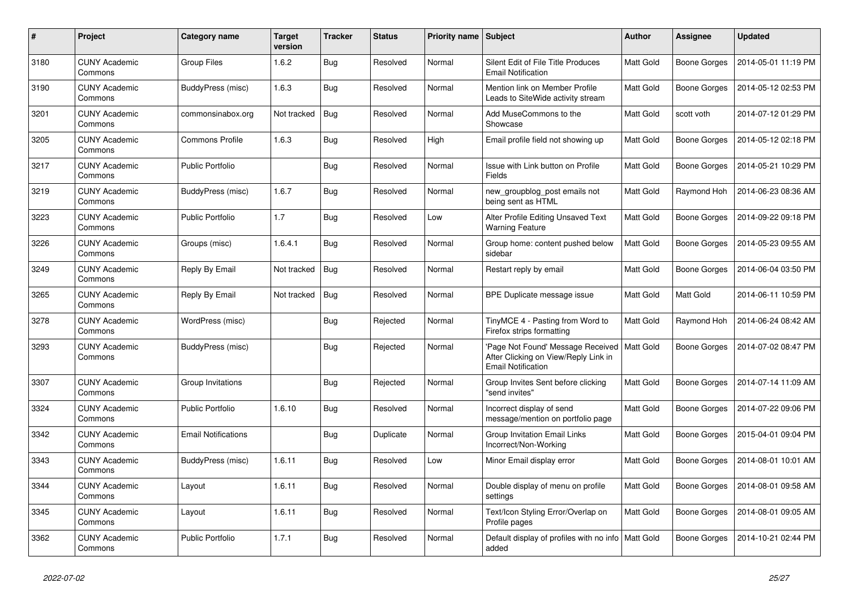| #    | Project                         | Category name              | <b>Target</b><br>version | <b>Tracker</b> | <b>Status</b> | Priority name Subject |                                                                                                        | <b>Author</b> | <b>Assignee</b>     | <b>Updated</b>      |
|------|---------------------------------|----------------------------|--------------------------|----------------|---------------|-----------------------|--------------------------------------------------------------------------------------------------------|---------------|---------------------|---------------------|
| 3180 | <b>CUNY Academic</b><br>Commons | <b>Group Files</b>         | 1.6.2                    | <b>Bug</b>     | Resolved      | Normal                | Silent Edit of File Title Produces<br><b>Email Notification</b>                                        | Matt Gold     | Boone Gorges        | 2014-05-01 11:19 PM |
| 3190 | <b>CUNY Academic</b><br>Commons | BuddyPress (misc)          | 1.6.3                    | Bug            | Resolved      | Normal                | Mention link on Member Profile<br>Leads to SiteWide activity stream                                    | Matt Gold     | Boone Gorges        | 2014-05-12 02:53 PM |
| 3201 | <b>CUNY Academic</b><br>Commons | commonsinabox.org          | Not tracked              | <b>Bug</b>     | Resolved      | Normal                | Add MuseCommons to the<br>Showcase                                                                     | Matt Gold     | scott voth          | 2014-07-12 01:29 PM |
| 3205 | <b>CUNY Academic</b><br>Commons | <b>Commons Profile</b>     | 1.6.3                    | <b>Bug</b>     | Resolved      | High                  | Email profile field not showing up                                                                     | Matt Gold     | Boone Gorges        | 2014-05-12 02:18 PM |
| 3217 | <b>CUNY Academic</b><br>Commons | <b>Public Portfolio</b>    |                          | <b>Bug</b>     | Resolved      | Normal                | Issue with Link button on Profile<br>Fields                                                            | Matt Gold     | <b>Boone Gorges</b> | 2014-05-21 10:29 PM |
| 3219 | <b>CUNY Academic</b><br>Commons | BuddyPress (misc)          | 1.6.7                    | <b>Bug</b>     | Resolved      | Normal                | new_groupblog_post emails not<br>being sent as HTML                                                    | Matt Gold     | Raymond Hoh         | 2014-06-23 08:36 AM |
| 3223 | <b>CUNY Academic</b><br>Commons | Public Portfolio           | 1.7                      | <b>Bug</b>     | Resolved      | Low                   | Alter Profile Editing Unsaved Text<br><b>Warning Feature</b>                                           | Matt Gold     | Boone Gorges        | 2014-09-22 09:18 PM |
| 3226 | <b>CUNY Academic</b><br>Commons | Groups (misc)              | 1.6.4.1                  | Bug            | Resolved      | Normal                | Group home: content pushed below<br>sidebar                                                            | Matt Gold     | Boone Gorges        | 2014-05-23 09:55 AM |
| 3249 | <b>CUNY Academic</b><br>Commons | Reply By Email             | Not tracked              | Bug            | Resolved      | Normal                | Restart reply by email                                                                                 | Matt Gold     | <b>Boone Gorges</b> | 2014-06-04 03:50 PM |
| 3265 | <b>CUNY Academic</b><br>Commons | Reply By Email             | Not tracked              | <b>Bug</b>     | Resolved      | Normal                | BPE Duplicate message issue                                                                            | Matt Gold     | Matt Gold           | 2014-06-11 10:59 PM |
| 3278 | <b>CUNY Academic</b><br>Commons | WordPress (misc)           |                          | Bug            | Rejected      | Normal                | TinyMCE 4 - Pasting from Word to<br>Firefox strips formatting                                          | Matt Gold     | Raymond Hoh         | 2014-06-24 08:42 AM |
| 3293 | <b>CUNY Academic</b><br>Commons | BuddyPress (misc)          |                          | Bug            | Rejected      | Normal                | 'Page Not Found' Message Received<br>After Clicking on View/Reply Link in<br><b>Email Notification</b> | Matt Gold     | Boone Gorges        | 2014-07-02 08:47 PM |
| 3307 | <b>CUNY Academic</b><br>Commons | Group Invitations          |                          | <b>Bug</b>     | Rejected      | Normal                | Group Invites Sent before clicking<br>"send invites"                                                   | Matt Gold     | Boone Gorges        | 2014-07-14 11:09 AM |
| 3324 | <b>CUNY Academic</b><br>Commons | <b>Public Portfolio</b>    | 1.6.10                   | <b>Bug</b>     | Resolved      | Normal                | Incorrect display of send<br>message/mention on portfolio page                                         | Matt Gold     | Boone Gorges        | 2014-07-22 09:06 PM |
| 3342 | <b>CUNY Academic</b><br>Commons | <b>Email Notifications</b> |                          | <b>Bug</b>     | Duplicate     | Normal                | Group Invitation Email Links<br>Incorrect/Non-Working                                                  | Matt Gold     | Boone Gorges        | 2015-04-01 09:04 PM |
| 3343 | <b>CUNY Academic</b><br>Commons | BuddyPress (misc)          | 1.6.11                   | Bug            | Resolved      | Low                   | Minor Email display error                                                                              | Matt Gold     | Boone Gorges        | 2014-08-01 10:01 AM |
| 3344 | <b>CUNY Academic</b><br>Commons | Layout                     | 1.6.11                   | <b>Bug</b>     | Resolved      | Normal                | Double display of menu on profile<br>settings                                                          | Matt Gold     | Boone Gorges        | 2014-08-01 09:58 AM |
| 3345 | <b>CUNY Academic</b><br>Commons | Layout                     | 1.6.11                   | Bug            | Resolved      | Normal                | Text/Icon Styling Error/Overlap on<br>Profile pages                                                    | Matt Gold     | Boone Gorges        | 2014-08-01 09:05 AM |
| 3362 | <b>CUNY Academic</b><br>Commons | <b>Public Portfolio</b>    | 1.7.1                    | Bug            | Resolved      | Normal                | Default display of profiles with no info   Matt Gold<br>added                                          |               | Boone Gorges        | 2014-10-21 02:44 PM |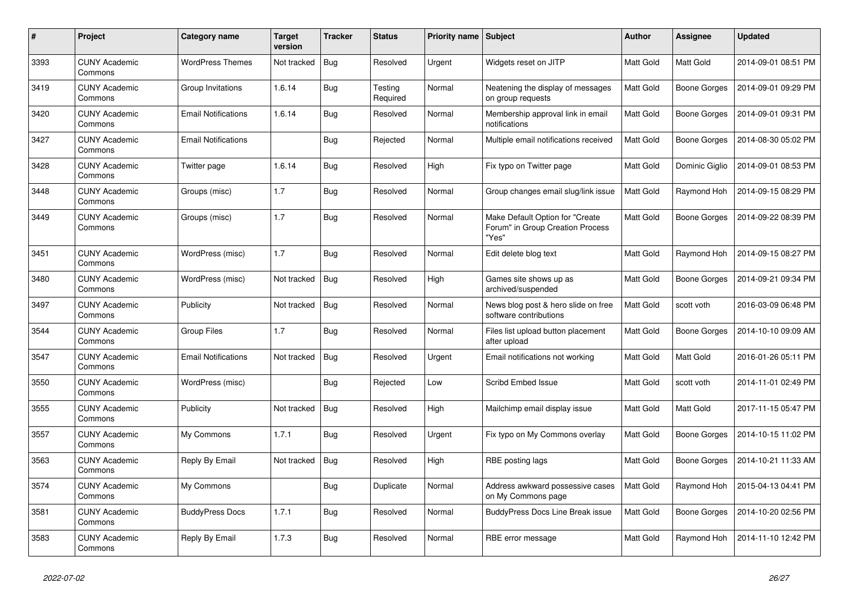| $\pmb{\#}$ | Project                         | Category name              | <b>Target</b><br>version | <b>Tracker</b> | <b>Status</b>       | <b>Priority name Subject</b> |                                                                              | <b>Author</b> | <b>Assignee</b>     | <b>Updated</b>      |
|------------|---------------------------------|----------------------------|--------------------------|----------------|---------------------|------------------------------|------------------------------------------------------------------------------|---------------|---------------------|---------------------|
| 3393       | <b>CUNY Academic</b><br>Commons | <b>WordPress Themes</b>    | Not tracked              | Bug            | Resolved            | Urgent                       | Widgets reset on JITP                                                        | Matt Gold     | Matt Gold           | 2014-09-01 08:51 PM |
| 3419       | <b>CUNY Academic</b><br>Commons | Group Invitations          | 1.6.14                   | Bug            | Testing<br>Required | Normal                       | Neatening the display of messages<br>on group requests                       | Matt Gold     | <b>Boone Gorges</b> | 2014-09-01 09:29 PM |
| 3420       | <b>CUNY Academic</b><br>Commons | <b>Email Notifications</b> | 1.6.14                   | <b>Bug</b>     | Resolved            | Normal                       | Membership approval link in email<br>notifications                           | Matt Gold     | Boone Gorges        | 2014-09-01 09:31 PM |
| 3427       | <b>CUNY Academic</b><br>Commons | <b>Email Notifications</b> |                          | Bug            | Rejected            | Normal                       | Multiple email notifications received                                        | Matt Gold     | Boone Gorges        | 2014-08-30 05:02 PM |
| 3428       | <b>CUNY Academic</b><br>Commons | Twitter page               | 1.6.14                   | <b>Bug</b>     | Resolved            | High                         | Fix typo on Twitter page                                                     | Matt Gold     | Dominic Giglio      | 2014-09-01 08:53 PM |
| 3448       | <b>CUNY Academic</b><br>Commons | Groups (misc)              | 1.7                      | <b>Bug</b>     | Resolved            | Normal                       | Group changes email slug/link issue                                          | Matt Gold     | Raymond Hoh         | 2014-09-15 08:29 PM |
| 3449       | <b>CUNY Academic</b><br>Commons | Groups (misc)              | 1.7                      | Bug            | Resolved            | Normal                       | Make Default Option for "Create<br>Forum" in Group Creation Process<br>"Yes" | Matt Gold     | Boone Gorges        | 2014-09-22 08:39 PM |
| 3451       | <b>CUNY Academic</b><br>Commons | WordPress (misc)           | 1.7                      | <b>Bug</b>     | Resolved            | Normal                       | Edit delete blog text                                                        | Matt Gold     | Raymond Hoh         | 2014-09-15 08:27 PM |
| 3480       | <b>CUNY Academic</b><br>Commons | WordPress (misc)           | Not tracked              | <b>Bug</b>     | Resolved            | High                         | Games site shows up as<br>archived/suspended                                 | Matt Gold     | Boone Gorges        | 2014-09-21 09:34 PM |
| 3497       | <b>CUNY Academic</b><br>Commons | Publicity                  | Not tracked              | Bug            | Resolved            | Normal                       | News blog post & hero slide on free<br>software contributions                | Matt Gold     | scott voth          | 2016-03-09 06:48 PM |
| 3544       | <b>CUNY Academic</b><br>Commons | <b>Group Files</b>         | 1.7                      | <b>Bug</b>     | Resolved            | Normal                       | Files list upload button placement<br>after upload                           | Matt Gold     | Boone Gorges        | 2014-10-10 09:09 AM |
| 3547       | <b>CUNY Academic</b><br>Commons | <b>Email Notifications</b> | Not tracked              | Bug            | Resolved            | Urgent                       | Email notifications not working                                              | Matt Gold     | Matt Gold           | 2016-01-26 05:11 PM |
| 3550       | <b>CUNY Academic</b><br>Commons | WordPress (misc)           |                          | Bug            | Rejected            | Low                          | <b>Scribd Embed Issue</b>                                                    | Matt Gold     | scott voth          | 2014-11-01 02:49 PM |
| 3555       | <b>CUNY Academic</b><br>Commons | Publicity                  | Not tracked              | Bug            | Resolved            | High                         | Mailchimp email display issue                                                | Matt Gold     | Matt Gold           | 2017-11-15 05:47 PM |
| 3557       | <b>CUNY Academic</b><br>Commons | My Commons                 | 1.7.1                    | Bug            | Resolved            | Urgent                       | Fix typo on My Commons overlay                                               | Matt Gold     | Boone Gorges        | 2014-10-15 11:02 PM |
| 3563       | <b>CUNY Academic</b><br>Commons | Reply By Email             | Not tracked              | Bug            | Resolved            | High                         | RBE posting lags                                                             | Matt Gold     | Boone Gorges        | 2014-10-21 11:33 AM |
| 3574       | <b>CUNY Academic</b><br>Commons | My Commons                 |                          | Bug            | Duplicate           | Normal                       | Address awkward possessive cases<br>on My Commons page                       | Matt Gold     | Raymond Hoh         | 2015-04-13 04:41 PM |
| 3581       | <b>CUNY Academic</b><br>Commons | <b>BuddyPress Docs</b>     | 1.7.1                    | <b>Bug</b>     | Resolved            | Normal                       | <b>BuddyPress Docs Line Break issue</b>                                      | Matt Gold     | Boone Gorges        | 2014-10-20 02:56 PM |
| 3583       | <b>CUNY Academic</b><br>Commons | Reply By Email             | 1.7.3                    | Bug            | Resolved            | Normal                       | RBE error message                                                            | Matt Gold     | Raymond Hoh         | 2014-11-10 12:42 PM |